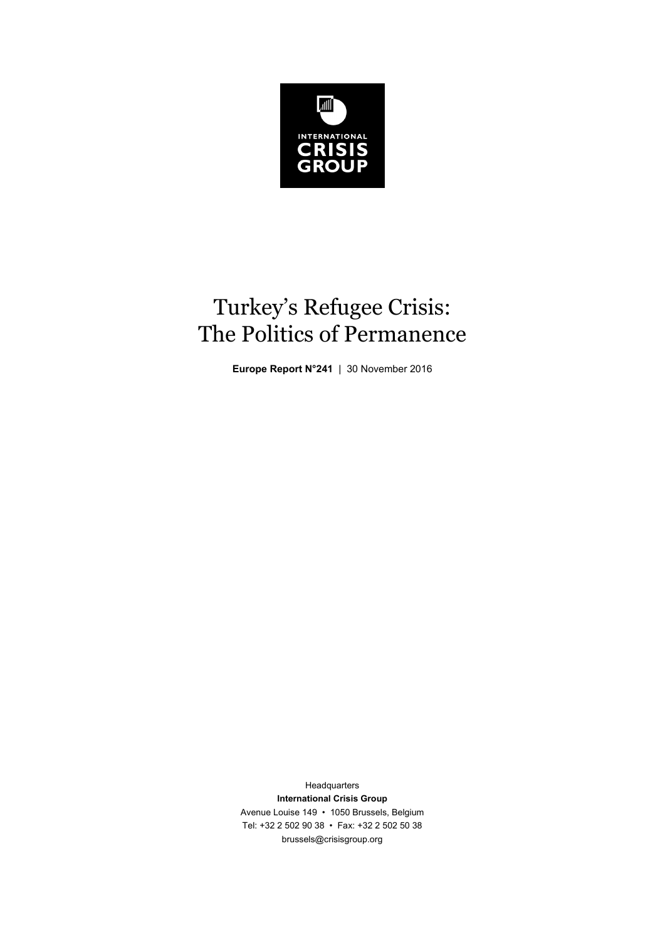

# Turkey's Refugee Crisis: The Politics of Permanence

**Europe Report N°241** | 30 November 2016

Headquarters **International Crisis Group**  Avenue Louise 149 • 1050 Brussels, Belgium Tel: +32 2 502 90 38 • Fax: +32 2 502 50 38 brussels@crisisgroup.org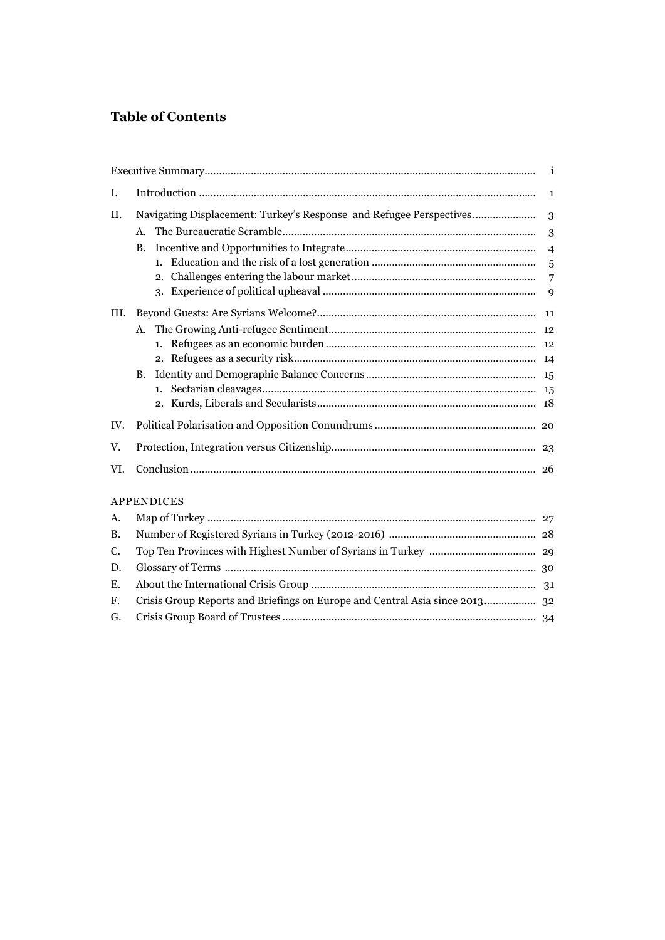# **Table of Contents**

|           |                                                                             | $\mathbf{i}$   |  |
|-----------|-----------------------------------------------------------------------------|----------------|--|
| Ι.        |                                                                             |                |  |
| II.       | Navigating Displacement: Turkey's Response and Refugee Perspectives         | 3              |  |
|           | A.                                                                          | 3              |  |
|           | В.                                                                          |                |  |
|           | 1 <sup>1</sup>                                                              | 5              |  |
|           |                                                                             | $\overline{7}$ |  |
|           |                                                                             |                |  |
| III.      |                                                                             |                |  |
|           | A.                                                                          |                |  |
|           | 1.                                                                          |                |  |
|           |                                                                             |                |  |
|           | B.                                                                          |                |  |
|           | 1.                                                                          |                |  |
|           |                                                                             |                |  |
| IV.       |                                                                             |                |  |
| V.        |                                                                             |                |  |
| VI.       |                                                                             | 26             |  |
|           | APPENDICES                                                                  |                |  |
| A.        |                                                                             |                |  |
| <b>B.</b> |                                                                             |                |  |
| C.        |                                                                             |                |  |
| D.        |                                                                             |                |  |
| E.        |                                                                             |                |  |
| F.        | Crisis Group Reports and Briefings on Europe and Central Asia since 2013 32 |                |  |
| G.        |                                                                             |                |  |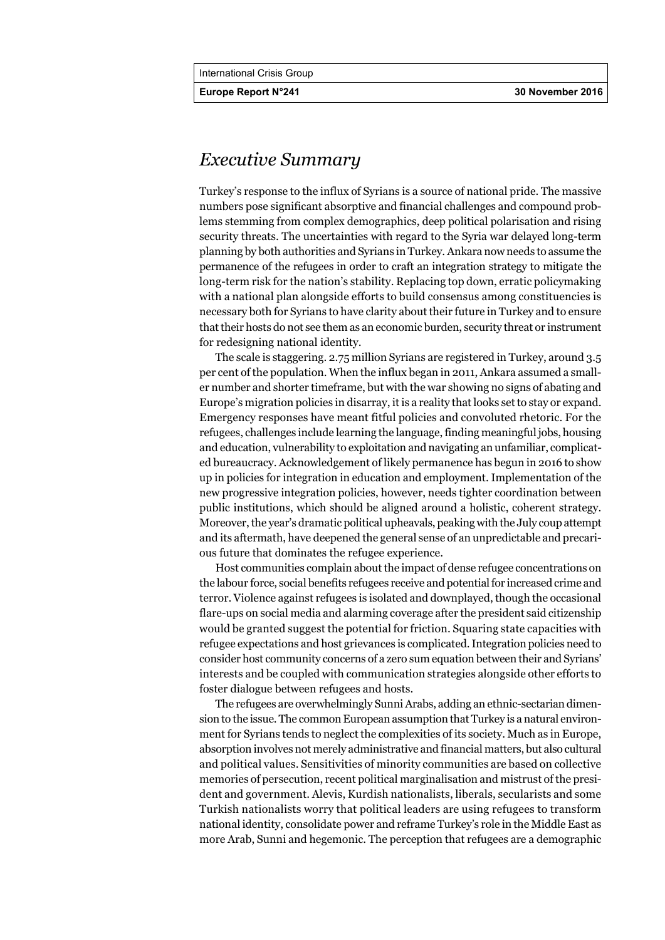# *Executive Summary*

Turkey's response to the influx of Syrians is a source of national pride. The massive numbers pose significant absorptive and financial challenges and compound problems stemming from complex demographics, deep political polarisation and rising security threats. The uncertainties with regard to the Syria war delayed long-term planning by both authorities and Syrians in Turkey. Ankara now needs to assume the permanence of the refugees in order to craft an integration strategy to mitigate the long-term risk for the nation's stability. Replacing top down, erratic policymaking with a national plan alongside efforts to build consensus among constituencies is necessary both for Syrians to have clarity about their future in Turkey and to ensure that their hosts do not see them as an economic burden, security threat or instrument for redesigning national identity.

The scale is staggering. 2.75 million Syrians are registered in Turkey, around 3.5 per cent of the population. When the influx began in 2011, Ankara assumed a smaller number and shorter timeframe, but with the war showing no signs of abating and Europe's migration policies in disarray, it is a reality that looks set to stay or expand. Emergency responses have meant fitful policies and convoluted rhetoric. For the refugees, challenges include learning the language, finding meaningful jobs, housing and education, vulnerability to exploitation and navigating an unfamiliar, complicated bureaucracy. Acknowledgement of likely permanence has begun in 2016 to show up in policies for integration in education and employment. Implementation of the new progressive integration policies, however, needs tighter coordination between public institutions, which should be aligned around a holistic, coherent strategy. Moreover, the year's dramatic political upheavals, peaking with the July coup attempt and its aftermath, have deepened the general sense of an unpredictable and precarious future that dominates the refugee experience.

Host communities complain about the impact of dense refugee concentrations on the labour force, social benefits refugees receive and potential for increased crime and terror. Violence against refugees is isolated and downplayed, though the occasional flare-ups on social media and alarming coverage after the president said citizenship would be granted suggest the potential for friction. Squaring state capacities with refugee expectations and host grievances is complicated. Integration policies need to consider host community concerns of a zero sum equation between their and Syrians' interests and be coupled with communication strategies alongside other efforts to foster dialogue between refugees and hosts.

The refugees are overwhelmingly Sunni Arabs, adding an ethnic-sectarian dimension to the issue. The common European assumption that Turkey is a natural environment for Syrians tends to neglect the complexities of its society. Much as in Europe, absorption involves not merely administrative and financial matters, but also cultural and political values. Sensitivities of minority communities are based on collective memories of persecution, recent political marginalisation and mistrust of the president and government. Alevis, Kurdish nationalists, liberals, secularists and some Turkish nationalists worry that political leaders are using refugees to transform national identity, consolidate power and reframe Turkey's role in the Middle East as more Arab, Sunni and hegemonic. The perception that refugees are a demographic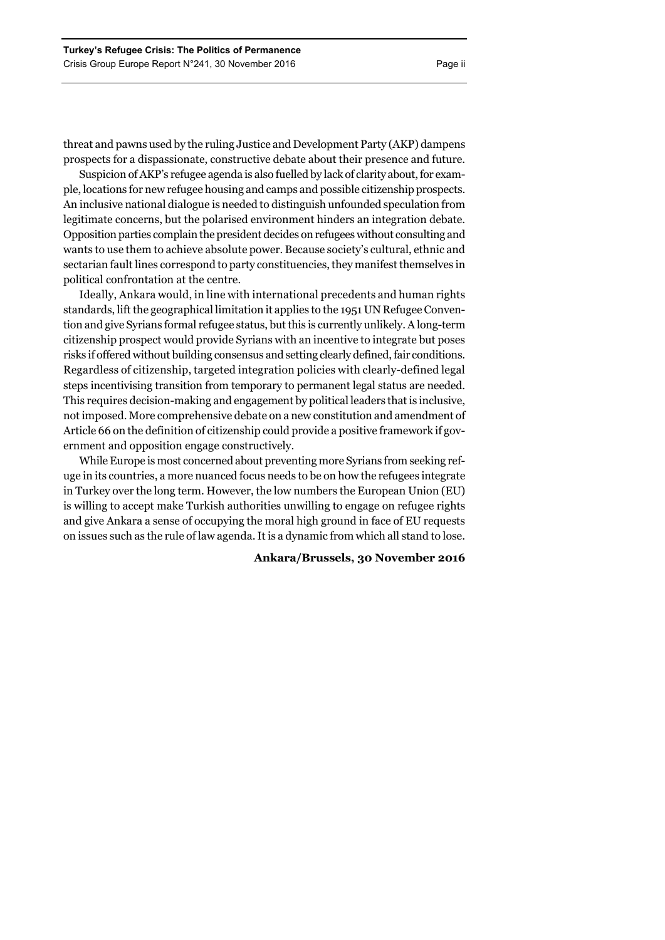threat and pawns used by the ruling Justice and Development Party (AKP) dampens prospects for a dispassionate, constructive debate about their presence and future.

Suspicion of AKP's refugee agenda is also fuelled by lack of clarity about, for example, locations for new refugee housing and camps and possible citizenship prospects. An inclusive national dialogue is needed to distinguish unfounded speculation from legitimate concerns, but the polarised environment hinders an integration debate. Opposition parties complain the president decides on refugees without consulting and wants to use them to achieve absolute power. Because society's cultural, ethnic and sectarian fault lines correspond to party constituencies, they manifest themselves in political confrontation at the centre.

Ideally, Ankara would, in line with international precedents and human rights standards, lift the geographical limitation it applies to the 1951 UN Refugee Convention and give Syrians formal refugee status, but this is currently unlikely. A long-term citizenship prospect would provide Syrians with an incentive to integrate but poses risks if offered without building consensus and setting clearly defined, fair conditions. Regardless of citizenship, targeted integration policies with clearly-defined legal steps incentivising transition from temporary to permanent legal status are needed. This requires decision-making and engagement by political leaders that is inclusive, not imposed. More comprehensive debate on a new constitution and amendment of Article 66 on the definition of citizenship could provide a positive framework if government and opposition engage constructively.

While Europe is most concerned about preventing more Syrians from seeking refuge in its countries, a more nuanced focus needs to be on how the refugees integrate in Turkey over the long term. However, the low numbers the European Union (EU) is willing to accept make Turkish authorities unwilling to engage on refugee rights and give Ankara a sense of occupying the moral high ground in face of EU requests on issues such as the rule of law agenda. It is a dynamic from which all stand to lose.

# **Ankara/Brussels, 30 November 2016**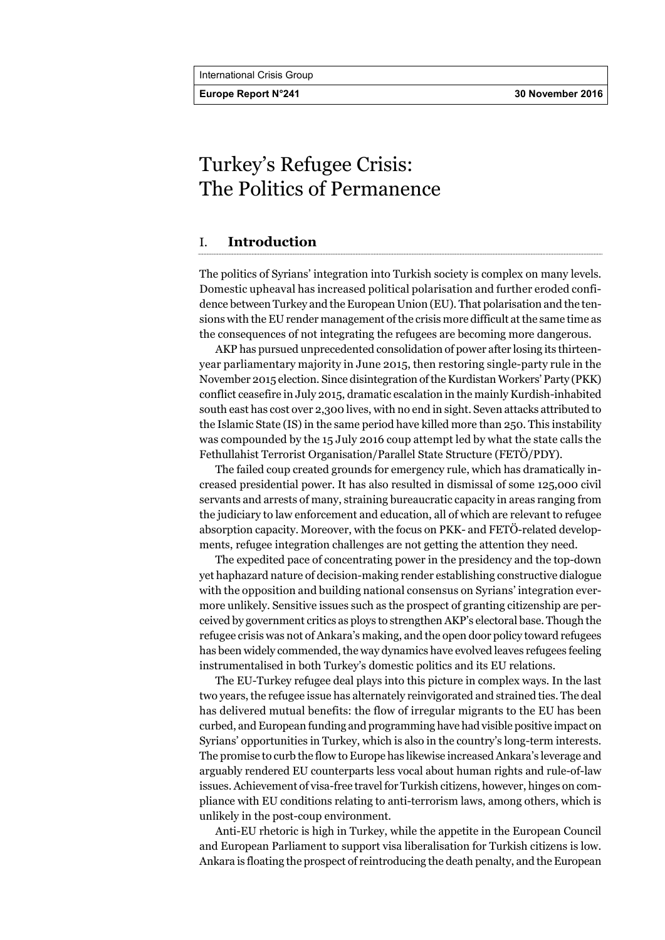**Europe Report N°241 30 November 2016** 

# Turkey's Refugee Crisis: The Politics of Permanence

# I. **Introduction**

The politics of Syrians' integration into Turkish society is complex on many levels. Domestic upheaval has increased political polarisation and further eroded confidence between Turkey and the European Union (EU). That polarisation and the tensions with the EU render management of the crisis more difficult at the same time as the consequences of not integrating the refugees are becoming more dangerous.

AKP has pursued unprecedented consolidation of power after losing its thirteenyear parliamentary majority in June 2015, then restoring single-party rule in the November 2015 election. Since disintegration of the Kurdistan Workers' Party (PKK) conflict ceasefire in July 2015, dramatic escalation in the mainly Kurdish-inhabited south east has cost over 2,300 lives, with no end in sight. Seven attacks attributed to the Islamic State (IS) in the same period have killed more than 250. This instability was compounded by the 15 July 2016 coup attempt led by what the state calls the Fethullahist Terrorist Organisation/Parallel State Structure (FETÖ/PDY).

The failed coup created grounds for emergency rule, which has dramatically increased presidential power. It has also resulted in dismissal of some 125,000 civil servants and arrests of many, straining bureaucratic capacity in areas ranging from the judiciary to law enforcement and education, all of which are relevant to refugee absorption capacity. Moreover, with the focus on PKK- and FETÖ-related developments, refugee integration challenges are not getting the attention they need.

The expedited pace of concentrating power in the presidency and the top-down yet haphazard nature of decision-making render establishing constructive dialogue with the opposition and building national consensus on Syrians' integration evermore unlikely. Sensitive issues such as the prospect of granting citizenship are perceived by government critics as ploys to strengthen AKP's electoral base. Though the refugee crisis was not of Ankara's making, and the open door policy toward refugees has been widely commended, the way dynamics have evolved leaves refugees feeling instrumentalised in both Turkey's domestic politics and its EU relations.

The EU-Turkey refugee deal plays into this picture in complex ways. In the last two years, the refugee issue has alternately reinvigorated and strained ties. The deal has delivered mutual benefits: the flow of irregular migrants to the EU has been curbed, and European funding and programming have had visible positive impact on Syrians' opportunities in Turkey, which is also in the country's long-term interests. The promise to curb the flow to Europe has likewise increased Ankara's leverage and arguably rendered EU counterparts less vocal about human rights and rule-of-law issues. Achievement of visa-free travel for Turkish citizens, however, hinges on compliance with EU conditions relating to anti-terrorism laws, among others, which is unlikely in the post-coup environment.

Anti-EU rhetoric is high in Turkey, while the appetite in the European Council and European Parliament to support visa liberalisation for Turkish citizens is low. Ankara is floating the prospect of reintroducing the death penalty, and the European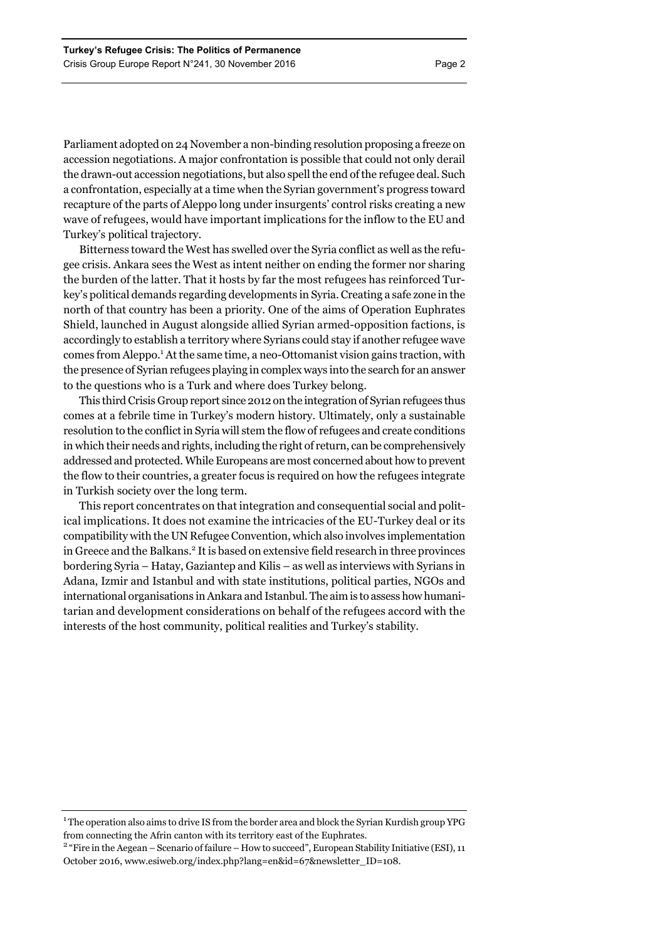Parliament adopted on 24 November a non-binding resolution proposing a freeze on accession negotiations. A major confrontation is possible that could not only derail the drawn-out accession negotiations, but also spell the end of the refugee deal. Such a confrontation, especially at a time when the Syrian government's progress toward recapture of the parts of Aleppo long under insurgents' control risks creating a new wave of refugees, would have important implications for the inflow to the EU and Turkey's political trajectory.

Bitterness toward the West has swelled over the Syria conflict as well as the refugee crisis. Ankara sees the West as intent neither on ending the former nor sharing the burden of the latter. That it hosts by far the most refugees has reinforced Turkey's political demands regarding developments in Syria. Creating a safe zone in the north of that country has been a priority. One of the aims of Operation Euphrates Shield, launched in August alongside allied Syrian armed-opposition factions, is accordingly to establish a territory where Syrians could stay if another refugee wave comes from Aleppo.<sup>1</sup> At the same time, a neo-Ottomanist vision gains traction, with the presence of Syrian refugees playing in complex ways into the search for an answer to the questions who is a Turk and where does Turkey belong.

This third Crisis Group report since 2012 on the integration of Syrian refugees thus comes at a febrile time in Turkey's modern history. Ultimately, only a sustainable resolution to the conflict in Syria will stem the flow of refugees and create conditions in which their needs and rights, including the right of return, can be comprehensively addressed and protected. While Europeans are most concerned about how to prevent the flow to their countries, a greater focus is required on how the refugees integrate in Turkish society over the long term.

This report concentrates on that integration and consequential social and political implications. It does not examine the intricacies of the EU-Turkey deal or its compatibility with the UN Refugee Convention, which also involves implementation in Greece and the Balkans.<sup>2</sup> It is based on extensive field research in three provinces bordering Syria – Hatay, Gaziantep and Kilis – as well as interviews with Syrians in Adana, Izmir and Istanbul and with state institutions, political parties, NGOs and international organisations in Ankara and Istanbul. The aim is to assess how humanitarian and development considerations on behalf of the refugees accord with the interests of the host community, political realities and Turkey's stability.

 $^{\rm 1}$  The operation also aims to drive IS from the border area and block the Syrian Kurdish group YPG from connecting the Afrin canton with its territory east of the Euphrates. 2

<sup>&</sup>lt;sup>2</sup> "Fire in the Aegean – Scenario of failure – How to succeed", European Stability Initiative (ESI), 11 October 2016, www.esiweb.org/index.php?lang=en&id=67&newsletter\_ID=108.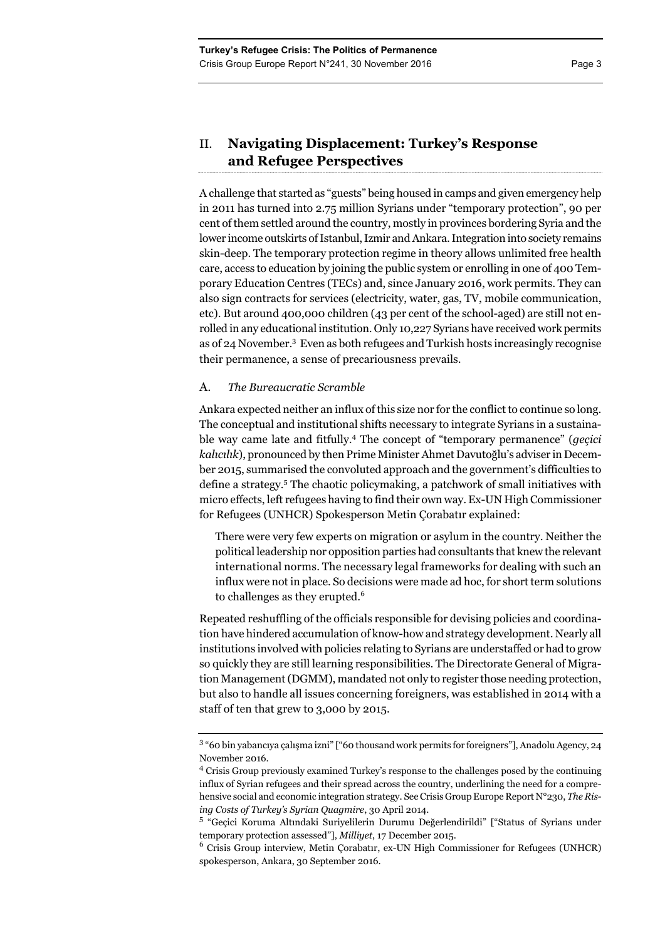# II. **Navigating Displacement: Turkey's Response and Refugee Perspectives**

A challenge that started as "guests" being housed in camps and given emergency help in 2011 has turned into 2.75 million Syrians under "temporary protection", 90 per cent of them settled around the country, mostly in provinces bordering Syria and the lower income outskirts of Istanbul, Izmir and Ankara. Integration into society remains skin-deep. The temporary protection regime in theory allows unlimited free health care, access to education by joining the public system or enrolling in one of 400 Temporary Education Centres (TECs) and, since January 2016, work permits. They can also sign contracts for services (electricity, water, gas, TV, mobile communication, etc). But around 400,000 children (43 per cent of the school-aged) are still not enrolled in any educational institution. Only 10,227 Syrians have received work permits as of 24 November.<sup>3</sup> Even as both refugees and Turkish hosts increasingly recognise their permanence, a sense of precariousness prevails.

# A. *The Bureaucratic Scramble*

Ankara expected neither an influx of this size nor for the conflict to continue so long. The conceptual and institutional shifts necessary to integrate Syrians in a sustainable way came late and fitfully.4 The concept of "temporary permanence" (*geçici kalıcılık*), pronounced by then Prime Minister Ahmet Davutoğlu's adviser in December 2015, summarised the convoluted approach and the government's difficulties to define a strategy.<sup>5</sup> The chaotic policymaking, a patchwork of small initiatives with micro effects, left refugees having to find their own way. Ex-UN High Commissioner for Refugees (UNHCR) Spokesperson Metin Çorabatır explained:

There were very few experts on migration or asylum in the country. Neither the political leadership nor opposition parties had consultants that knew the relevant international norms. The necessary legal frameworks for dealing with such an influx were not in place. So decisions were made ad hoc, for short term solutions to challenges as they erupted.<sup>6</sup>

Repeated reshuffling of the officials responsible for devising policies and coordination have hindered accumulation of know-how and strategy development. Nearly all institutions involved with policies relating to Syrians are understaffed or had to grow so quickly they are still learning responsibilities. The Directorate General of Migration Management (DGMM), mandated not only to register those needing protection, but also to handle all issues concerning foreigners, was established in 2014 with a staff of ten that grew to 3,000 by 2015.

<sup>&</sup>lt;sup>3</sup> "60 bin yabancıya çalışma izni" ["60 thousand work permits for foreigners"], Anadolu Agency, 24 November 2016.

<sup>4</sup> Crisis Group previously examined Turkey's response to the challenges posed by the continuing influx of Syrian refugees and their spread across the country, underlining the need for a comprehensive social and economic integration strategy. See Crisis Group Europe Report N°230, *The Rising Costs of Turkey's Syrian Quagmire*, 30 April 2014.

<sup>&</sup>lt;sup>5</sup> "Geçici Koruma Altındaki Suriyelilerin Durumu Değerlendirildi" ["Status of Syrians under temporary protection assessed"], *Milliyet*, 17 December 2015.

<sup>6</sup> Crisis Group interview, Metin Çorabatır, ex-UN High Commissioner for Refugees (UNHCR) spokesperson, Ankara, 30 September 2016.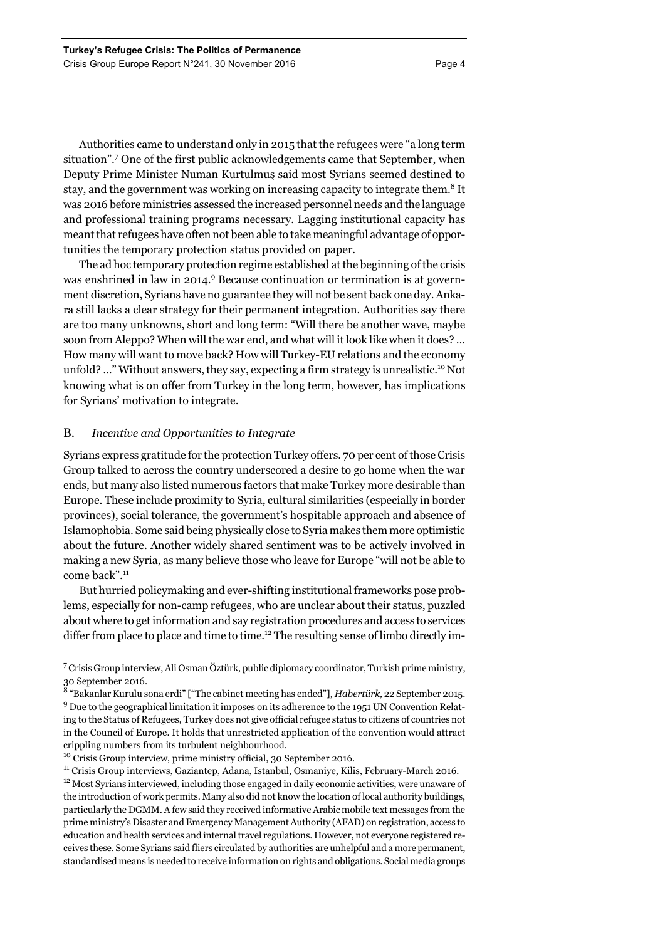Authorities came to understand only in 2015 that the refugees were "a long term situation".<sup>7</sup> One of the first public acknowledgements came that September, when Deputy Prime Minister Numan Kurtulmuş said most Syrians seemed destined to stay, and the government was working on increasing capacity to integrate them.<sup>8</sup> It was 2016 before ministries assessed the increased personnel needs and the language and professional training programs necessary. Lagging institutional capacity has meant that refugees have often not been able to take meaningful advantage of opportunities the temporary protection status provided on paper.

The ad hoc temporary protection regime established at the beginning of the crisis was enshrined in law in 2014.<sup>9</sup> Because continuation or termination is at government discretion, Syrians have no guarantee they will not be sent back one day. Ankara still lacks a clear strategy for their permanent integration. Authorities say there are too many unknowns, short and long term: "Will there be another wave, maybe soon from Aleppo? When will the war end, and what will it look like when it does? … How many will want to move back? How will Turkey-EU relations and the economy unfold? ..." Without answers, they say, expecting a firm strategy is unrealistic.<sup>10</sup> Not knowing what is on offer from Turkey in the long term, however, has implications for Syrians' motivation to integrate.

# B. *Incentive and Opportunities to Integrate*

Syrians express gratitude for the protection Turkey offers. 70 per cent of those Crisis Group talked to across the country underscored a desire to go home when the war ends, but many also listed numerous factors that make Turkey more desirable than Europe. These include proximity to Syria, cultural similarities (especially in border provinces), social tolerance, the government's hospitable approach and absence of Islamophobia. Some said being physically close to Syria makes them more optimistic about the future. Another widely shared sentiment was to be actively involved in making a new Syria, as many believe those who leave for Europe "will not be able to come back".<sup>11</sup>

But hurried policymaking and ever-shifting institutional frameworks pose problems, especially for non-camp refugees, who are unclear about their status, puzzled about where to get information and say registration procedures and access to services differ from place to place and time to time.<sup>12</sup> The resulting sense of limbo directly im-

 $^{11}$  Crisis Group interviews, Gaziantep, Adana, Istanbul, Osmaniye, Kilis, February-March 2016.  $^{12}$  Most Syrians interviewed, including those engaged in daily economic activities, were unaware of the introduction of work permits. Many also did not know the location of local authority buildings, particularly the DGMM. A few said they received informative Arabic mobile text messages from the prime ministry's Disaster and Emergency Management Authority (AFAD) on registration, access to education and health services and internal travel regulations. However, not everyone registered receives these. Some Syrians said fliers circulated by authorities are unhelpful and a more permanent, standardised means is needed to receive information on rights and obligations. Social media groups

<sup>7</sup> Crisis Group interview, Ali Osman Öztürk, public diplomacy coordinator, Turkish prime ministry, 30 September 2016.

<sup>8</sup> "Bakanlar Kurulu sona erdi" ["The cabinet meeting has ended"], *Habertürk*, 22 September 2015. <sup>9</sup> Due to the geographical limitation it imposes on its adherence to the 1951 UN Convention Relating to the Status of Refugees, Turkey does not give official refugee status to citizens of countries not in the Council of Europe. It holds that unrestricted application of the convention would attract crippling numbers from its turbulent neighbourhood.  $\rm ^{10}$  Crisis Group interview, prime ministry official, 30 September 2016.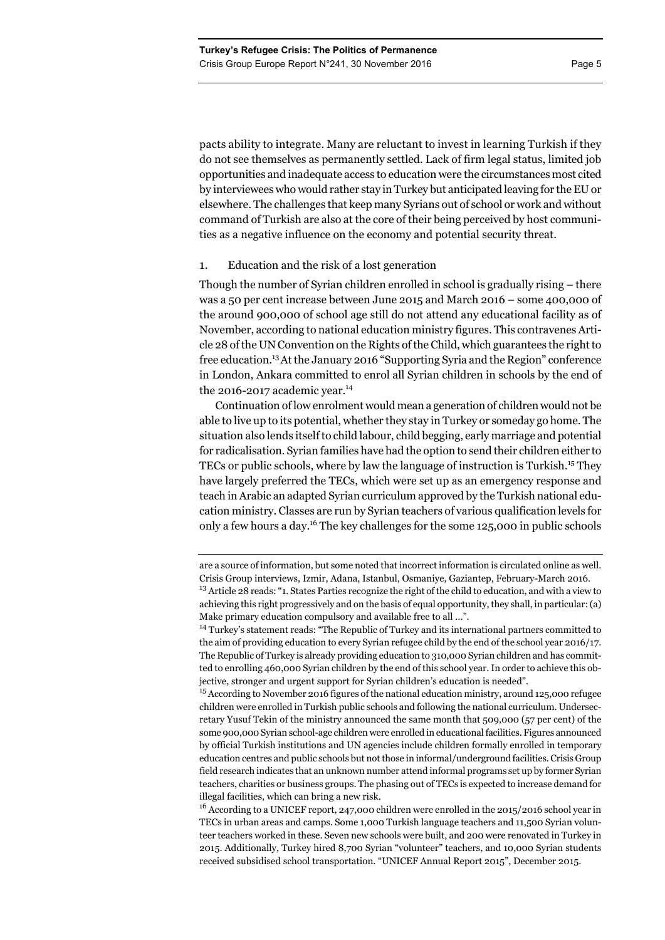pacts ability to integrate. Many are reluctant to invest in learning Turkish if they do not see themselves as permanently settled. Lack of firm legal status, limited job opportunities and inadequate access to education were the circumstances most cited by interviewees who would rather stay in Turkey but anticipated leaving for the EU or elsewhere. The challenges that keep many Syrians out of school or work and without command of Turkish are also at the core of their being perceived by host communi-

# 1. Education and the risk of a lost generation

Though the number of Syrian children enrolled in school is gradually rising – there was a 50 per cent increase between June 2015 and March 2016 – some 400,000 of the around 900,000 of school age still do not attend any educational facility as of November, according to national education ministry figures. This contravenes Article 28 of the UN Convention on the Rights of the Child, which guarantees the right to free education.13At the January 2016 "Supporting Syria and the Region" conference in London, Ankara committed to enrol all Syrian children in schools by the end of the 2016-2017 academic year.<sup>14</sup>

ties as a negative influence on the economy and potential security threat.

Continuation of low enrolment would mean a generation of children would not be able to live up to its potential, whether they stay in Turkey or someday go home. The situation also lends itself to child labour, child begging, early marriage and potential for radicalisation. Syrian families have had the option to send their children either to TECs or public schools, where by law the language of instruction is Turkish.15 They have largely preferred the TECs, which were set up as an emergency response and teach in Arabic an adapted Syrian curriculum approved by the Turkish national education ministry. Classes are run by Syrian teachers of various qualification levels for only a few hours a day.16 The key challenges for the some 125,000 in public schools

<sup>16</sup> According to a UNICEF report, 247,000 children were enrolled in the 2015/2016 school year in TECs in urban areas and camps. Some 1,000 Turkish language teachers and 11,500 Syrian volunteer teachers worked in these. Seven new schools were built, and 200 were renovated in Turkey in 2015. Additionally, Turkey hired 8,700 Syrian "volunteer" teachers, and 10,000 Syrian students received subsidised school transportation. "UNICEF Annual Report 2015", December 2015.

are a source of information, but some noted that incorrect information is circulated online as well. Crisis Group interviews, Izmir, Adana, Istanbul, Osmaniye, Gaziantep, February-March 2016.

<sup>&</sup>lt;sup>13</sup> Article 28 reads: "1. States Parties recognize the right of the child to education, and with a view to achieving this right progressively and on the basis of equal opportunity, they shall, in particular: (a) Make primary education compulsory and available free to all ...".

<sup>&</sup>lt;sup>14</sup> Turkey's statement reads: "The Republic of Turkey and its international partners committed to the aim of providing education to every Syrian refugee child by the end of the school year 2016/17. The Republic of Turkey is already providing education to 310,000 Syrian children and has committed to enrolling 460,000 Syrian children by the end of this school year. In order to achieve this objective, stronger and urgent support for Syrian children's education is needed".

 $^{15}$  According to November 2016 figures of the national education ministry, around 125,000 refugee children were enrolled in Turkish public schools and following the national curriculum. Undersecretary Yusuf Tekin of the ministry announced the same month that 509,000 (57 per cent) of the some 900,000 Syrian school-age children were enrolled in educational facilities. Figures announced by official Turkish institutions and UN agencies include children formally enrolled in temporary education centres and public schools but not those in informal/underground facilities. Crisis Group field research indicates that an unknown number attend informal programs set up by former Syrian teachers, charities or business groups. The phasing out of TECs is expected to increase demand for illegal facilities, which can bring a new risk.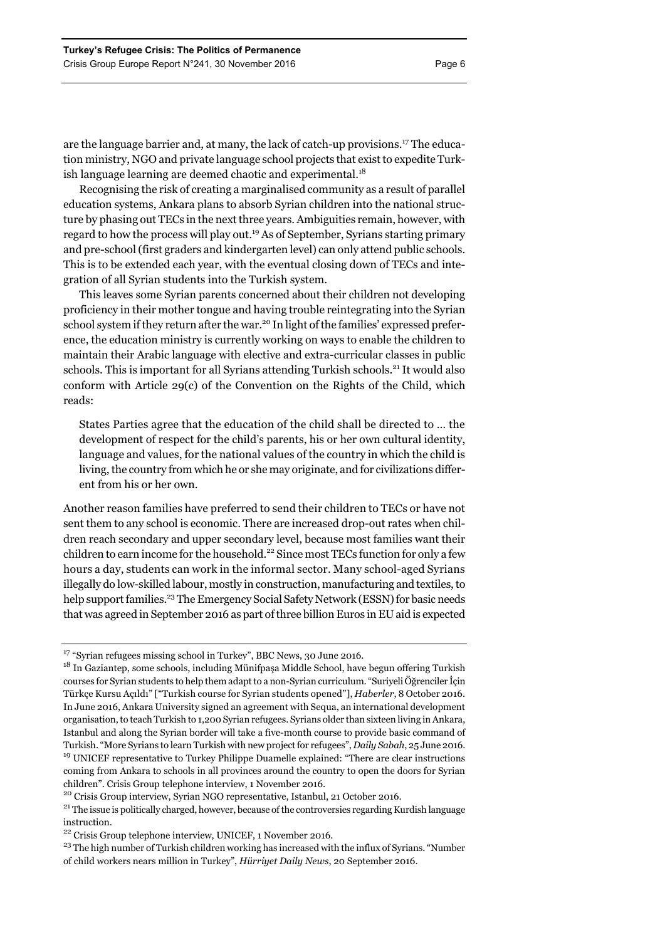are the language barrier and, at many, the lack of catch-up provisions.17 The education ministry, NGO and private language school projects that exist to expedite Turkish language learning are deemed chaotic and experimental. $18$ 

Recognising the risk of creating a marginalised community as a result of parallel education systems, Ankara plans to absorb Syrian children into the national structure by phasing out TECs in the next three years. Ambiguities remain, however, with regard to how the process will play out.19 As of September, Syrians starting primary and pre-school (first graders and kindergarten level) can only attend public schools. This is to be extended each year, with the eventual closing down of TECs and integration of all Syrian students into the Turkish system.

This leaves some Syrian parents concerned about their children not developing proficiency in their mother tongue and having trouble reintegrating into the Syrian school system if they return after the war.<sup>20</sup> In light of the families' expressed preference, the education ministry is currently working on ways to enable the children to maintain their Arabic language with elective and extra-curricular classes in public schools. This is important for all Syrians attending Turkish schools.<sup>21</sup> It would also conform with Article 29(c) of the Convention on the Rights of the Child, which reads:

States Parties agree that the education of the child shall be directed to … the development of respect for the child's parents, his or her own cultural identity, language and values, for the national values of the country in which the child is living, the country from which he or she may originate, and for civilizations different from his or her own.

Another reason families have preferred to send their children to TECs or have not sent them to any school is economic. There are increased drop-out rates when children reach secondary and upper secondary level, because most families want their children to earn income for the household.<sup>22</sup> Since most TECs function for only a few hours a day, students can work in the informal sector. Many school-aged Syrians illegally do low-skilled labour, mostly in construction, manufacturing and textiles, to help support families.<sup>23</sup> The Emergency Social Safety Network (ESSN) for basic needs that was agreed in September 2016 as part of three billion Euros in EU aid is expected

<sup>&</sup>lt;sup>17</sup> "Syrian refugees missing school in Turkey", BBC News, 30 June 2016.

<sup>&</sup>lt;sup>18</sup> In Gaziantep, some schools, including Münifpaşa Middle School, have begun offering Turkish courses for Syrian students to help them adapt to a non-Syrian curriculum. "Suriyeli Öğrenciler İçin Türkçe Kursu Açıldı" ["Turkish course for Syrian students opened"], *Haberler*, 8 October 2016. In June 2016, Ankara University signed an agreement with Sequa, an international development organisation, to teach Turkish to 1,200 Syrian refugees. Syrians older than sixteen living in Ankara, Istanbul and along the Syrian border will take a five-month course to provide basic command of Turkish. "More Syrians to learn Turkish with new project for refugees", *Daily Sabah*, 25 June 2016. <sup>19</sup> UNICEF representative to Turkey Philippe Duamelle explained: "There are clear instructions coming from Ankara to schools in all provinces around the country to open the doors for Syrian children". Crisis Group telephone interview, 1 November 2016.

<sup>&</sup>lt;sup>20</sup> Crisis Group interview, Syrian NGO representative, Istanbul, 21 October 2016.<br><sup>21</sup> The issue is politically charged, however, because of the controversies regarding Kurdish language instruction.

<sup>22</sup> Crisis Group telephone interview, UNICEF, 1 November 2016.

<sup>&</sup>lt;sup>23</sup> The high number of Turkish children working has increased with the influx of Syrians. "Number of child workers nears million in Turkey", *Hürriyet Daily News*, 20 September 2016.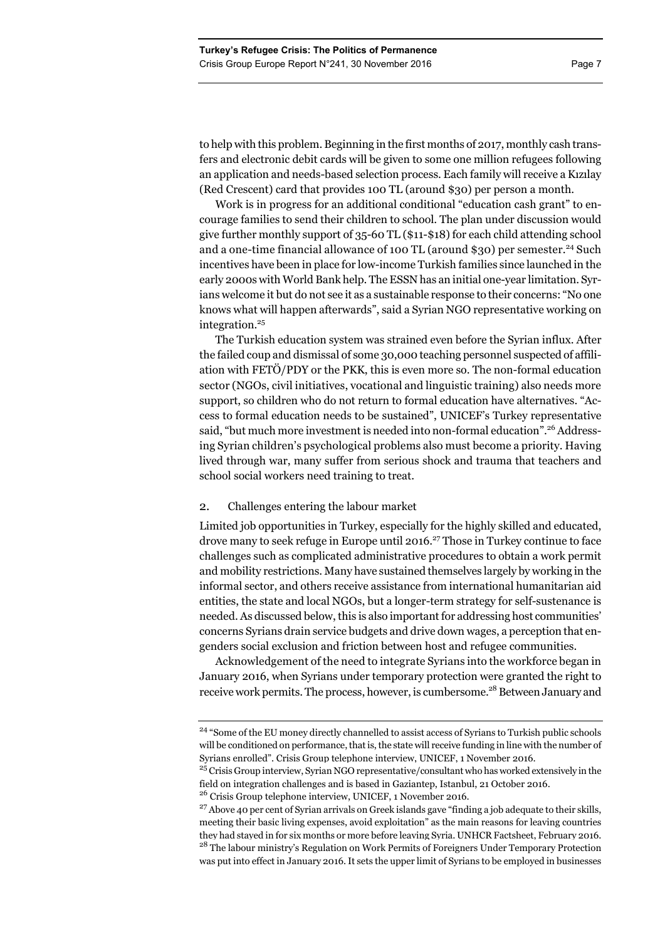to help with this problem. Beginning in the first months of 2017, monthly cash transfers and electronic debit cards will be given to some one million refugees following an application and needs-based selection process. Each family will receive a Kızılay (Red Crescent) card that provides 100 TL (around \$30) per person a month.

Work is in progress for an additional conditional "education cash grant" to encourage families to send their children to school. The plan under discussion would give further monthly support of 35-60 TL (\$11-\$18) for each child attending school and a one-time financial allowance of 100 TL (around \$30) per semester.<sup>24</sup> Such incentives have been in place for low-income Turkish families since launched in the early 2000s with World Bank help. The ESSN has an initial one-year limitation. Syrians welcome it but do not see it as a sustainable response to their concerns: "No one knows what will happen afterwards", said a Syrian NGO representative working on integration.<sup>25</sup>

The Turkish education system was strained even before the Syrian influx. After the failed coup and dismissal of some 30,000 teaching personnel suspected of affiliation with FETÖ/PDY or the PKK, this is even more so. The non-formal education sector (NGOs, civil initiatives, vocational and linguistic training) also needs more support, so children who do not return to formal education have alternatives. "Access to formal education needs to be sustained", UNICEF's Turkey representative said, "but much more investment is needed into non-formal education".<sup>26</sup> Addressing Syrian children's psychological problems also must become a priority. Having lived through war, many suffer from serious shock and trauma that teachers and school social workers need training to treat.

### 2. Challenges entering the labour market

Limited job opportunities in Turkey, especially for the highly skilled and educated, drove many to seek refuge in Europe until 2016.27 Those in Turkey continue to face challenges such as complicated administrative procedures to obtain a work permit and mobility restrictions. Many have sustained themselves largely by working in the informal sector, and others receive assistance from international humanitarian aid entities, the state and local NGOs, but a longer-term strategy for self-sustenance is needed. As discussed below, this is also important for addressing host communities' concerns Syrians drain service budgets and drive down wages, a perception that engenders social exclusion and friction between host and refugee communities.

Acknowledgement of the need to integrate Syrians into the workforce began in January 2016, when Syrians under temporary protection were granted the right to receive work permits. The process, however, is cumbersome.<sup>28</sup> Between January and

<sup>&</sup>lt;sup>24</sup> "Some of the EU money directly channelled to assist access of Syrians to Turkish public schools will be conditioned on performance, that is, the state will receive funding in line with the number of Syrians enrolled". Crisis Group telephone interview, UNICEF, 1 November 2016.

<sup>&</sup>lt;sup>25</sup> Crisis Group interview, Syrian NGO representative/consultant who has worked extensively in the field on integration challenges and is based in Gaziantep, Istanbul, 21 October 2016. <sup>26</sup> Crisis Group telephone interview, UNICEF, 1 November 2016.

 $27$  Above 40 per cent of Syrian arrivals on Greek islands gave "finding a job adequate to their skills, meeting their basic living expenses, avoid exploitation" as the main reasons for leaving countries they had stayed in for six months or more before leaving Syria. UNHCR Factsheet, February 2016. <sup>28</sup> The labour ministry's Regulation on Work Permits of Foreigners Under Temporary Protection was put into effect in January 2016. It sets the upper limit of Syrians to be employed in businesses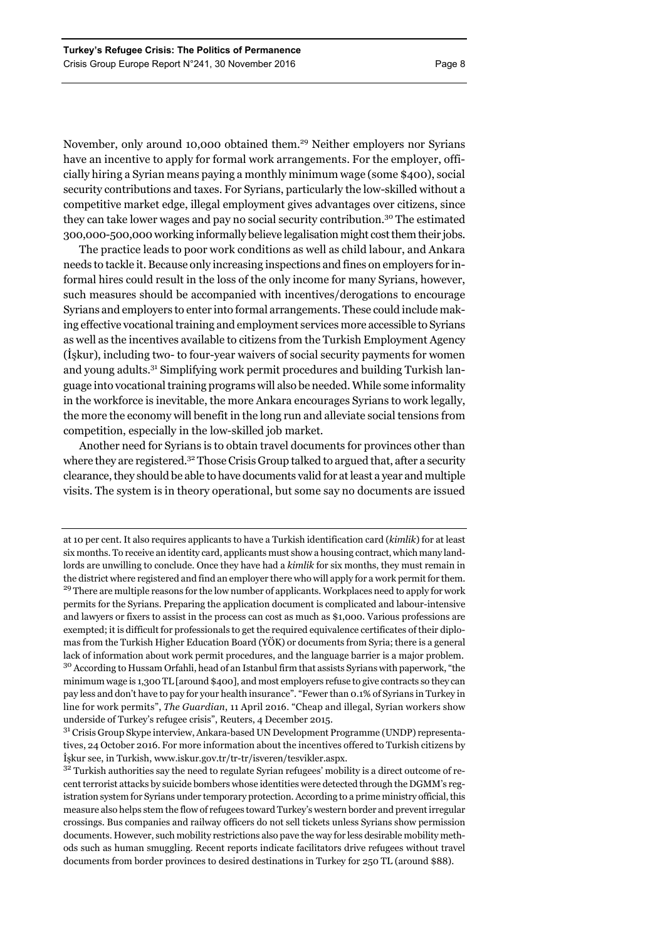November, only around 10,000 obtained them.<sup>29</sup> Neither employers nor Syrians have an incentive to apply for formal work arrangements. For the employer, officially hiring a Syrian means paying a monthly minimum wage (some \$400), social security contributions and taxes. For Syrians, particularly the low-skilled without a competitive market edge, illegal employment gives advantages over citizens, since they can take lower wages and pay no social security contribution.<sup>30</sup> The estimated 300,000-500,000 working informally believe legalisation might cost them their jobs.

The practice leads to poor work conditions as well as child labour, and Ankara needs to tackle it. Because only increasing inspections and fines on employers for informal hires could result in the loss of the only income for many Syrians, however, such measures should be accompanied with incentives/derogations to encourage Syrians and employers to enter into formal arrangements. These could include making effective vocational training and employment services more accessible to Syrians as well as the incentives available to citizens from the Turkish Employment Agency (İşkur), including two- to four-year waivers of social security payments for women and young adults.<sup>31</sup> Simplifying work permit procedures and building Turkish language into vocational training programs will also be needed. While some informality in the workforce is inevitable, the more Ankara encourages Syrians to work legally, the more the economy will benefit in the long run and alleviate social tensions from competition, especially in the low-skilled job market.

Another need for Syrians is to obtain travel documents for provinces other than where they are registered.<sup>32</sup> Those Crisis Group talked to argued that, after a security clearance, they should be able to have documents valid for at least a year and multiple visits. The system is in theory operational, but some say no documents are issued

at 10 per cent. It also requires applicants to have a Turkish identification card (*kimlik*) for at least six months. To receive an identity card, applicants must show a housing contract, which many landlords are unwilling to conclude. Once they have had a *kimlik* for six months, they must remain in the district where registered and find an employer there who will apply for a work permit for them. <sup>29</sup> There are multiple reasons for the low number of applicants. Workplaces need to apply for work permits for the Syrians. Preparing the application document is complicated and labour-intensive and lawyers or fixers to assist in the process can cost as much as \$1,000. Various professions are exempted; it is difficult for professionals to get the required equivalence certificates of their diplomas from the Turkish Higher Education Board (YÖK) or documents from Syria; there is a general lack of information about work permit procedures, and the language barrier is a major problem. <sup>30</sup> According to Hussam Orfahli, head of an Istanbul firm that assists Syrians with paperwork, "the minimum wage is 1,300 TL [around \$400], and most employers refuse to give contracts so they can pay less and don't have to pay for your health insurance". "Fewer than 0.1% of Syrians in Turkey in line for work permits", *The Guardian*, 11 April 2016. "Cheap and illegal, Syrian workers show underside of Turkey's refugee crisis", Reuters, 4 December 2015.

<sup>31</sup> Crisis Group Skype interview, Ankara-based UN Development Programme (UNDP) representatives, 24 October 2016. For more information about the incentives offered to Turkish citizens by İşkur see, in Turkish, www.iskur.gov.tr/tr-tr/isveren/tesvikler.aspx.

<sup>&</sup>lt;sup>32</sup> Turkish authorities say the need to regulate Syrian refugees' mobility is a direct outcome of recent terrorist attacks by suicide bombers whose identities were detected through the DGMM's registration system for Syrians under temporary protection. According to a prime ministry official, this measure also helps stem the flow of refugees toward Turkey's western border and prevent irregular crossings. Bus companies and railway officers do not sell tickets unless Syrians show permission documents. However, such mobility restrictions also pave the way for less desirable mobility methods such as human smuggling. Recent reports indicate facilitators drive refugees without travel documents from border provinces to desired destinations in Turkey for 250 TL (around \$88).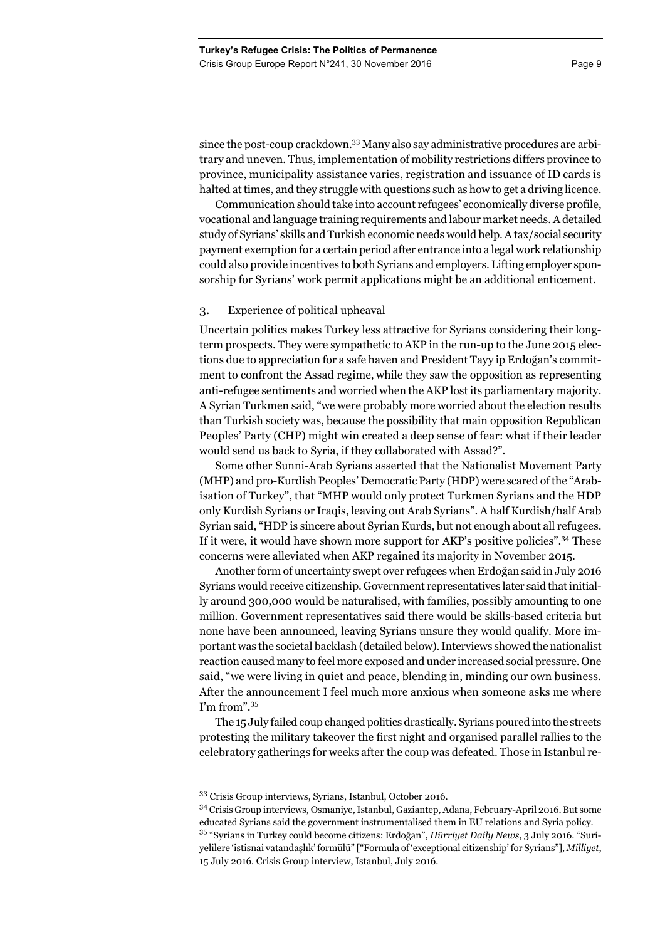since the post-coup crackdown.33 Many also say administrative procedures are arbitrary and uneven. Thus, implementation of mobility restrictions differs province to province, municipality assistance varies, registration and issuance of ID cards is halted at times, and they struggle with questions such as how to get a driving licence.

Communication should take into account refugees' economically diverse profile, vocational and language training requirements and labour market needs. A detailed study of Syrians' skills and Turkish economic needs would help. A tax/social security payment exemption for a certain period after entrance into a legal work relationship could also provide incentives to both Syrians and employers. Lifting employer sponsorship for Syrians' work permit applications might be an additional enticement.

# 3. Experience of political upheaval

Uncertain politics makes Turkey less attractive for Syrians considering their longterm prospects. They were sympathetic to AKP in the run-up to the June 2015 elections due to appreciation for a safe haven and President Tayy ip Erdoğan's commitment to confront the Assad regime, while they saw the opposition as representing anti-refugee sentiments and worried when the AKP lost its parliamentary majority. A Syrian Turkmen said, "we were probably more worried about the election results than Turkish society was, because the possibility that main opposition Republican Peoples' Party (CHP) might win created a deep sense of fear: what if their leader would send us back to Syria, if they collaborated with Assad?".

Some other Sunni-Arab Syrians asserted that the Nationalist Movement Party (MHP) and pro-Kurdish Peoples' Democratic Party (HDP) were scared of the "Arabisation of Turkey", that "MHP would only protect Turkmen Syrians and the HDP only Kurdish Syrians or Iraqis, leaving out Arab Syrians". A half Kurdish/half Arab Syrian said, "HDP is sincere about Syrian Kurds, but not enough about all refugees. If it were, it would have shown more support for AKP's positive policies".34 These concerns were alleviated when AKP regained its majority in November 2015.

Another form of uncertainty swept over refugees when Erdoğan said in July 2016 Syrians would receive citizenship. Government representatives later said that initially around 300,000 would be naturalised, with families, possibly amounting to one million. Government representatives said there would be skills-based criteria but none have been announced, leaving Syrians unsure they would qualify. More important was the societal backlash (detailed below). Interviews showed the nationalist reaction caused many to feel more exposed and under increased social pressure. One said, "we were living in quiet and peace, blending in, minding our own business. After the announcement I feel much more anxious when someone asks me where I'm from".35

The 15 July failed coup changed politics drastically. Syrians poured into the streets protesting the military takeover the first night and organised parallel rallies to the celebratory gatherings for weeks after the coup was defeated. Those in Istanbul re-

<sup>33</sup> Crisis Group interviews, Syrians, Istanbul, October 2016.

<sup>34</sup> Crisis Group interviews, Osmaniye, Istanbul, Gaziantep, Adana, February-April 2016. But some educated Syrians said the government instrumentalised them in EU relations and Syria policy. 35 "Syrians in Turkey could become citizens: Erdoğan", *Hürriyet Daily News*, 3 July 2016. "Suri-

yelilere 'istisnai vatandaşlık' formülü" ["Formula of 'exceptional citizenship' for Syrians"], *Milliyet*, 15 July 2016. Crisis Group interview, Istanbul, July 2016.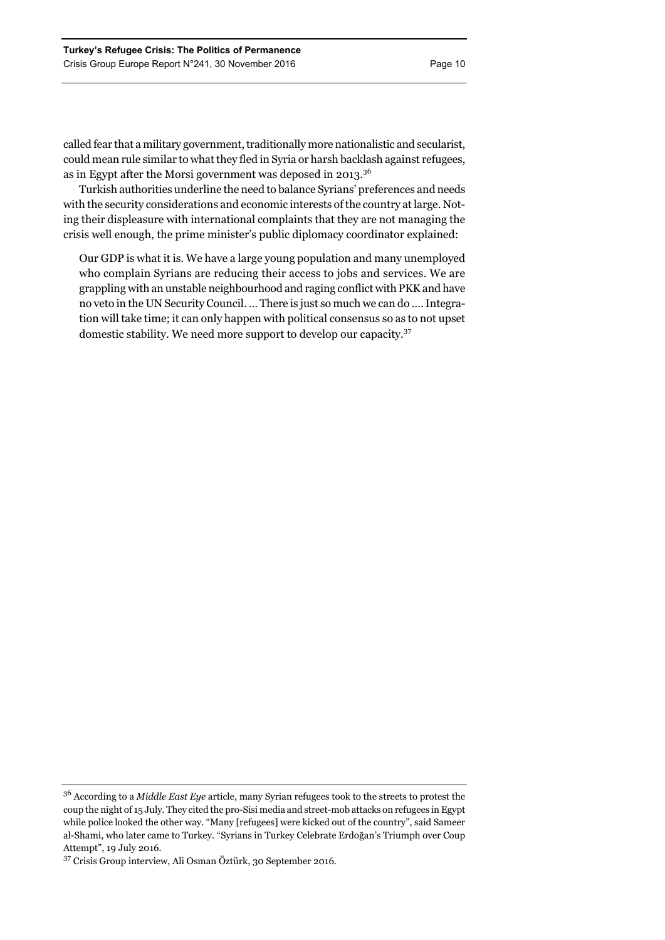called fear that a military government, traditionally more nationalistic and secularist, could mean rule similar to what they fled in Syria or harsh backlash against refugees, as in Egypt after the Morsi government was deposed in 2013.<sup>36</sup>

Turkish authorities underline the need to balance Syrians' preferences and needs with the security considerations and economic interests of the country at large. Noting their displeasure with international complaints that they are not managing the crisis well enough, the prime minister's public diplomacy coordinator explained:

Our GDP is what it is. We have a large young population and many unemployed who complain Syrians are reducing their access to jobs and services. We are grappling with an unstable neighbourhood and raging conflict with PKK and have no veto in the UN Security Council. … There is just so much we can do …. Integration will take time; it can only happen with political consensus so as to not upset domestic stability. We need more support to develop our capacity.<sup>37</sup>

<sup>36</sup> According to a *Middle East Eye* article, many Syrian refugees took to the streets to protest the coup the night of 15 July. They cited the pro-Sisi media and street-mob attacks on refugees in Egypt while police looked the other way. "Many [refugees] were kicked out of the country", said Sameer al-Shami, who later came to Turkey. "Syrians in Turkey Celebrate Erdoğan's Triumph over Coup Attempt", 19 July 2016.

<sup>37</sup> Crisis Group interview, Ali Osman Öztürk, 30 September 2016.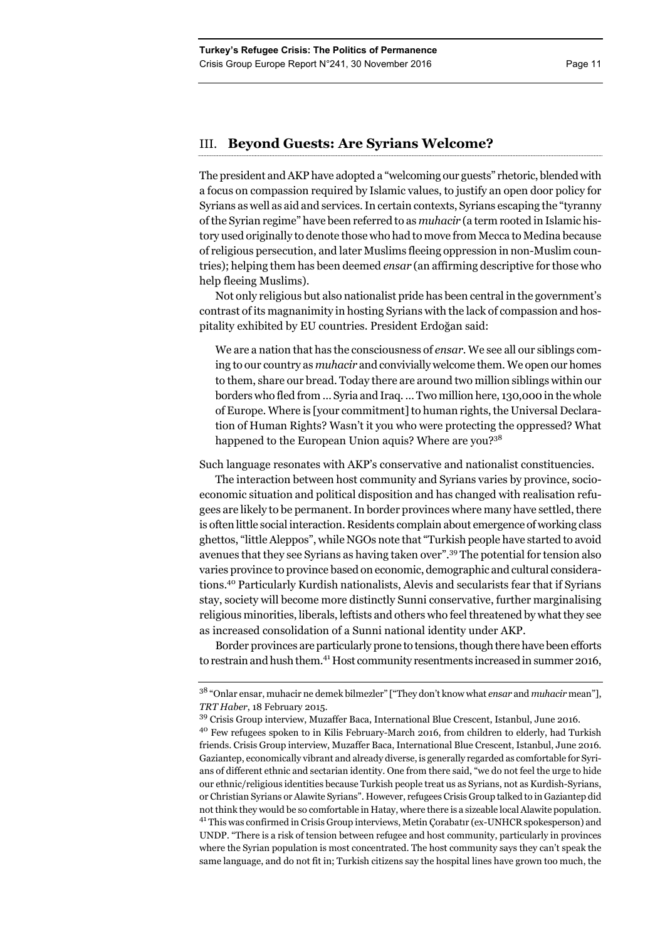# III. **Beyond Guests: Are Syrians Welcome?**

The president and AKP have adopted a "welcoming our guests" rhetoric, blended with a focus on compassion required by Islamic values, to justify an open door policy for Syrians as well as aid and services. In certain contexts, Syrians escaping the "tyranny of the Syrian regime" have been referred to as *muhacir* (a term rooted in Islamic history used originally to denote those who had to move from Mecca to Medina because of religious persecution, and later Muslims fleeing oppression in non-Muslim countries); helping them has been deemed *ensar* (an affirming descriptive for those who help fleeing Muslims).

Not only religious but also nationalist pride has been central in the government's contrast of its magnanimity in hosting Syrians with the lack of compassion and hospitality exhibited by EU countries. President Erdoğan said:

We are a nation that has the consciousness of *ensar.* We see all our siblings coming to our country as *muhacir* and convivially welcome them. We open our homes to them, share our bread. Today there are around two million siblings within our borders who fled from … Syria and Iraq. … Two million here, 130,000 in the whole of Europe. Where is [your commitment] to human rights, the Universal Declaration of Human Rights? Wasn't it you who were protecting the oppressed? What happened to the European Union aquis? Where are you?<sup>38</sup>

Such language resonates with AKP's conservative and nationalist constituencies.

The interaction between host community and Syrians varies by province, socioeconomic situation and political disposition and has changed with realisation refugees are likely to be permanent. In border provinces where many have settled, there is often little social interaction. Residents complain about emergence of working class ghettos, "little Aleppos", while NGOs note that "Turkish people have started to avoid avenues that they see Syrians as having taken over".39 The potential for tension also varies province to province based on economic, demographic and cultural considerations.40 Particularly Kurdish nationalists, Alevis and secularists fear that if Syrians stay, society will become more distinctly Sunni conservative, further marginalising religious minorities, liberals, leftists and others who feel threatened by what they see as increased consolidation of a Sunni national identity under AKP.

Border provinces are particularly prone to tensions, though there have been efforts to restrain and hush them.<sup>41</sup> Host community resentments increased in summer 2016,

38 "Onlar ensar, muhacir ne demek bilmezler" ["They don't know what *ensar* and *muhacir* mean"], *TRT Haber*, 18 February 2015.

<sup>39</sup> Crisis Group interview, Muzaffer Baca, International Blue Crescent, Istanbul, June 2016.

<sup>&</sup>lt;sup>40</sup> Few refugees spoken to in Kilis February-March 2016, from children to elderly, had Turkish friends. Crisis Group interview, Muzaffer Baca, International Blue Crescent, Istanbul, June 2016. Gaziantep, economically vibrant and already diverse, is generally regarded as comfortable for Syrians of different ethnic and sectarian identity. One from there said, "we do not feel the urge to hide our ethnic/religious identities because Turkish people treat us as Syrians, not as Kurdish-Syrians, or Christian Syrians or Alawite Syrians". However, refugees Crisis Group talked to in Gaziantep did not think they would be so comfortable in Hatay, where there is a sizeable local Alawite population. <sup>41</sup> This was confirmed in Crisis Group interviews, Metin Corabatır (ex-UNHCR spokesperson) and UNDP. "There is a risk of tension between refugee and host community, particularly in provinces where the Syrian population is most concentrated. The host community says they can't speak the same language, and do not fit in; Turkish citizens say the hospital lines have grown too much, the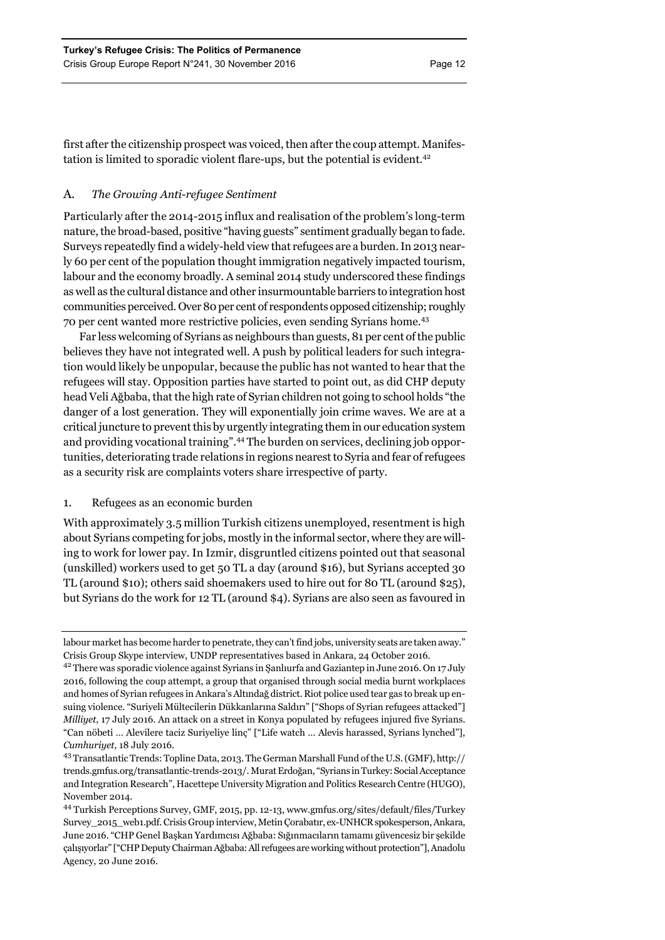first after the citizenship prospect was voiced, then after the coup attempt. Manifestation is limited to sporadic violent flare-ups, but the potential is evident.<sup>42</sup>

# A. *The Growing Anti-refugee Sentiment*

Particularly after the 2014-2015 influx and realisation of the problem's long-term nature, the broad-based, positive "having guests" sentiment gradually began to fade. Surveys repeatedly find a widely-held view that refugees are a burden. In 2013 nearly 60 per cent of the population thought immigration negatively impacted tourism, labour and the economy broadly. A seminal 2014 study underscored these findings as well as the cultural distance and other insurmountable barriers to integration host communities perceived. Over 80 per cent of respondents opposed citizenship; roughly 70 per cent wanted more restrictive policies, even sending Syrians home.43

Far less welcoming of Syrians as neighbours than guests, 81 per cent of the public believes they have not integrated well. A push by political leaders for such integration would likely be unpopular, because the public has not wanted to hear that the refugees will stay. Opposition parties have started to point out, as did CHP deputy head Veli Ağbaba, that the high rate of Syrian children not going to school holds "the danger of a lost generation. They will exponentially join crime waves. We are at a critical juncture to prevent this by urgently integrating them in our education system and providing vocational training".44 The burden on services, declining job opportunities, deteriorating trade relations in regions nearest to Syria and fear of refugees as a security risk are complaints voters share irrespective of party.

# 1. Refugees as an economic burden

With approximately 3.5 million Turkish citizens unemployed, resentment is high about Syrians competing for jobs, mostly in the informal sector, where they are willing to work for lower pay. In Izmir, disgruntled citizens pointed out that seasonal (unskilled) workers used to get 50 TL a day (around \$16), but Syrians accepted 30 TL (around \$10); others said shoemakers used to hire out for 80 TL (around \$25), but Syrians do the work for 12 TL (around \$4). Syrians are also seen as favoured in

labour market has become harder to penetrate, they can't find jobs, university seats are taken away." Crisis Group Skype interview, UNDP representatives based in Ankara, 24 October 2016.

<sup>&</sup>lt;sup>42</sup> There was sporadic violence against Syrians in Şanlıurfa and Gaziantep in June 2016. On 17 July 2016, following the coup attempt, a group that organised through social media burnt workplaces and homes of Syrian refugees in Ankara's Altındağ district. Riot police used tear gas to break up ensuing violence. "Suriyeli Mültecilerin Dükkanlarına Saldırı" ["Shops of Syrian refugees attacked"] *Milliyet*, 17 July 2016. An attack on a street in Konya populated by refugees injured five Syrians. "Can nöbeti … Alevilere taciz Suriyeliye linç" ["Life watch … Alevis harassed, Syrians lynched"], *Cumhuriyet*, 18 July 2016.

<sup>43</sup> Transatlantic Trends: Topline Data, 2013. The German Marshall Fund of the U.S. (GMF), http:// trends.gmfus.org/transatlantic-trends-2013/. Murat Erdoğan, "Syrians in Turkey: Social Acceptance and Integration Research", Hacettepe University Migration and Politics Research Centre (HUGO), November 2014.

<sup>44</sup> Turkish Perceptions Survey, GMF, 2015, pp. 12-13, www.gmfus.org/sites/default/files/Turkey Survey\_2015\_web1.pdf. Crisis Group interview, Metin Çorabatır, ex-UNHCR spokesperson, Ankara, June 2016. "CHP Genel Başkan Yardımcısı Ağbaba: Sığınmacıların tamamı güvencesiz bir şekilde çalışıyorlar" ["CHP Deputy Chairman Ağbaba: All refugees are working without protection"], Anadolu Agency, 20 June 2016.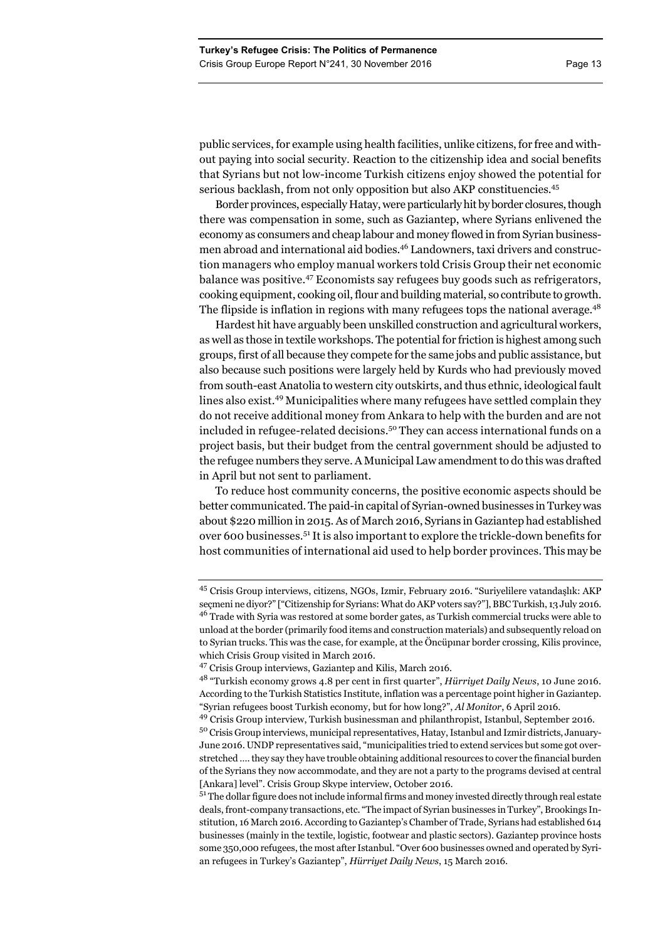public services, for example using health facilities, unlike citizens, for free and without paying into social security. Reaction to the citizenship idea and social benefits that Syrians but not low-income Turkish citizens enjoy showed the potential for serious backlash, from not only opposition but also AKP constituencies.<sup>45</sup>

Border provinces, especially Hatay, were particularly hit by border closures, though there was compensation in some, such as Gaziantep, where Syrians enlivened the economy as consumers and cheap labour and money flowed in from Syrian businessmen abroad and international aid bodies.<sup>46</sup> Landowners, taxi drivers and construction managers who employ manual workers told Crisis Group their net economic balance was positive.47 Economists say refugees buy goods such as refrigerators, cooking equipment, cooking oil, flour and building material, so contribute to growth. The flipside is inflation in regions with many refugees tops the national average.<sup>48</sup>

Hardest hit have arguably been unskilled construction and agricultural workers, as well as those in textile workshops. The potential for friction is highest among such groups, first of all because they compete for the same jobs and public assistance, but also because such positions were largely held by Kurds who had previously moved from south-east Anatolia to western city outskirts, and thus ethnic, ideological fault lines also exist.49 Municipalities where many refugees have settled complain they do not receive additional money from Ankara to help with the burden and are not included in refugee-related decisions.<sup>50</sup> They can access international funds on a project basis, but their budget from the central government should be adjusted to the refugee numbers they serve. A Municipal Law amendment to do this was drafted in April but not sent to parliament.

To reduce host community concerns, the positive economic aspects should be better communicated. The paid-in capital of Syrian-owned businesses in Turkey was about \$220 million in 2015. As of March 2016, Syrians in Gaziantep had established over 600 businesses.51 It is also important to explore the trickle-down benefits for host communities of international aid used to help border provinces. This may be

 $51$  The dollar figure does not include informal firms and money invested directly through real estate deals, front-company transactions, etc. "The impact of Syrian businesses in Turkey", Brookings Institution, 16 March 2016. According to Gaziantep's Chamber of Trade, Syrians had established 614 businesses (mainly in the textile, logistic, footwear and plastic sectors). Gaziantep province hosts some 350,000 refugees, the most after Istanbul. "Over 600 businesses owned and operated by Syrian refugees in Turkey's Gaziantep", *Hürriyet Daily News*, 15 March 2016.

<sup>45</sup> Crisis Group interviews, citizens, NGOs, Izmir, February 2016. "Suriyelilere vatandaşlık: AKP seçmeni ne diyor?" ["Citizenship for Syrians: What do AKP voters say?"], BBC Turkish, 13 July 2016. <sup>46</sup> Trade with Syria was restored at some border gates, as Turkish commercial trucks were able to unload at the border (primarily food items and construction materials) and subsequently reload on to Syrian trucks. This was the case, for example, at the Öncüpınar border crossing, Kilis province, which Crisis Group visited in March 2016.

<sup>47</sup> Crisis Group interviews, Gaziantep and Kilis, March 2016.

<sup>48 &</sup>quot;Turkish economy grows 4.8 per cent in first quarter", *Hürriyet Daily News*, 10 June 2016. According to the Turkish Statistics Institute, inflation was a percentage point higher in Gaziantep. "Syrian refugees boost Turkish economy, but for how long?", *Al Monitor*, 6 April 2016.

<sup>49</sup> Crisis Group interview, Turkish businessman and philanthropist, Istanbul, September 2016. 50 Crisis Group interviews, municipal representatives, Hatay, Istanbul and Izmir districts, January-June 2016. UNDP representatives said, "municipalities tried to extend services but some got overstretched …. they say they have trouble obtaining additional resources to cover the financial burden of the Syrians they now accommodate, and they are not a party to the programs devised at central [Ankara] level". Crisis Group Skype interview, October 2016.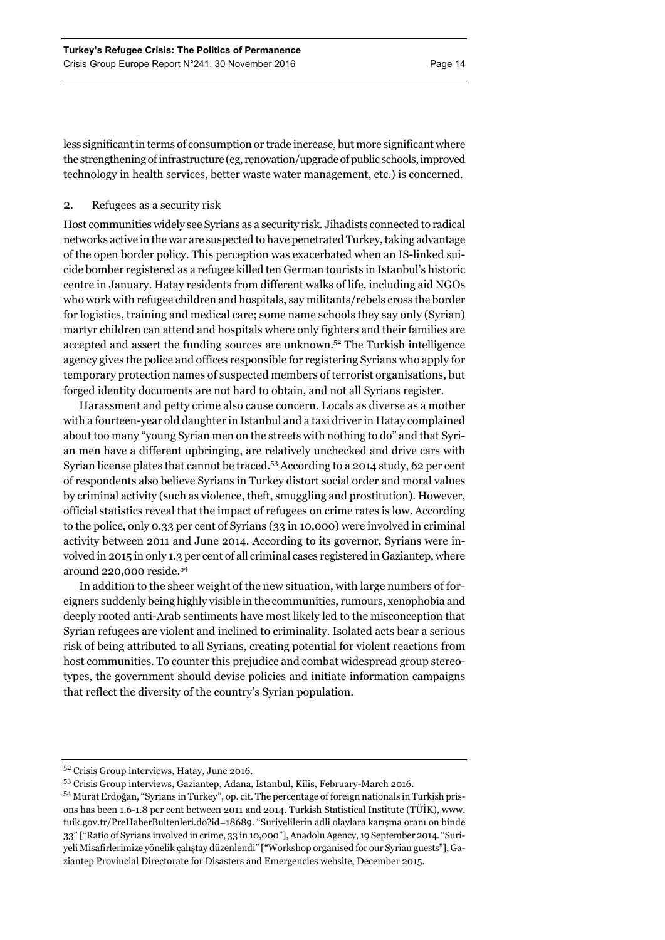less significant in terms of consumption or trade increase, but more significant where the strengthening of infrastructure (eg, renovation/upgrade of public schools, improved technology in health services, better waste water management, etc.) is concerned.

# 2. Refugees as a security risk

Host communities widely see Syrians as a security risk. Jihadists connected to radical networks active in the war are suspected to have penetrated Turkey, taking advantage of the open border policy. This perception was exacerbated when an IS-linked suicide bomber registered as a refugee killed ten German tourists in Istanbul's historic centre in January. Hatay residents from different walks of life, including aid NGOs who work with refugee children and hospitals, say militants/rebels cross the border for logistics, training and medical care; some name schools they say only (Syrian) martyr children can attend and hospitals where only fighters and their families are accepted and assert the funding sources are unknown.52 The Turkish intelligence agency gives the police and offices responsible for registering Syrians who apply for temporary protection names of suspected members of terrorist organisations, but forged identity documents are not hard to obtain, and not all Syrians register.

Harassment and petty crime also cause concern. Locals as diverse as a mother with a fourteen-year old daughter in Istanbul and a taxi driver in Hatay complained about too many "young Syrian men on the streets with nothing to do" and that Syrian men have a different upbringing, are relatively unchecked and drive cars with Syrian license plates that cannot be traced.53 According to a 2014 study, 62 per cent of respondents also believe Syrians in Turkey distort social order and moral values by criminal activity (such as violence, theft, smuggling and prostitution). However, official statistics reveal that the impact of refugees on crime rates is low. According to the police, only 0.33 per cent of Syrians (33 in 10,000) were involved in criminal activity between 2011 and June 2014. According to its governor, Syrians were involved in 2015 in only 1.3 per cent of all criminal cases registered in Gaziantep, where around 220,000 reside.<sup>54</sup>

In addition to the sheer weight of the new situation, with large numbers of foreigners suddenly being highly visible in the communities, rumours, xenophobia and deeply rooted anti-Arab sentiments have most likely led to the misconception that Syrian refugees are violent and inclined to criminality. Isolated acts bear a serious risk of being attributed to all Syrians, creating potential for violent reactions from host communities. To counter this prejudice and combat widespread group stereotypes, the government should devise policies and initiate information campaigns that reflect the diversity of the country's Syrian population.

<sup>52</sup> Crisis Group interviews, Hatay, June 2016.

<sup>53</sup> Crisis Group interviews, Gaziantep, Adana, Istanbul, Kilis, February-March 2016.

<sup>54</sup> Murat Erdoğan, "Syrians in Turkey", op. cit. The percentage of foreign nationals in Turkish prisons has been 1.6-1.8 per cent between 2011 and 2014. Turkish Statistical Institute (TÜİK), www. tuik.gov.tr/PreHaberBultenleri.do?id=18689. "Suriyelilerin adli olaylara karışma oranı on binde 33" ["Ratio of Syrians involved in crime, 33 in 10,000"], Anadolu Agency, 19 September 2014. "Suriyeli Misafirlerimize yönelik çalıştay düzenlendi" ["Workshop organised for our Syrian guests"], Gaziantep Provincial Directorate for Disasters and Emergencies website, December 2015.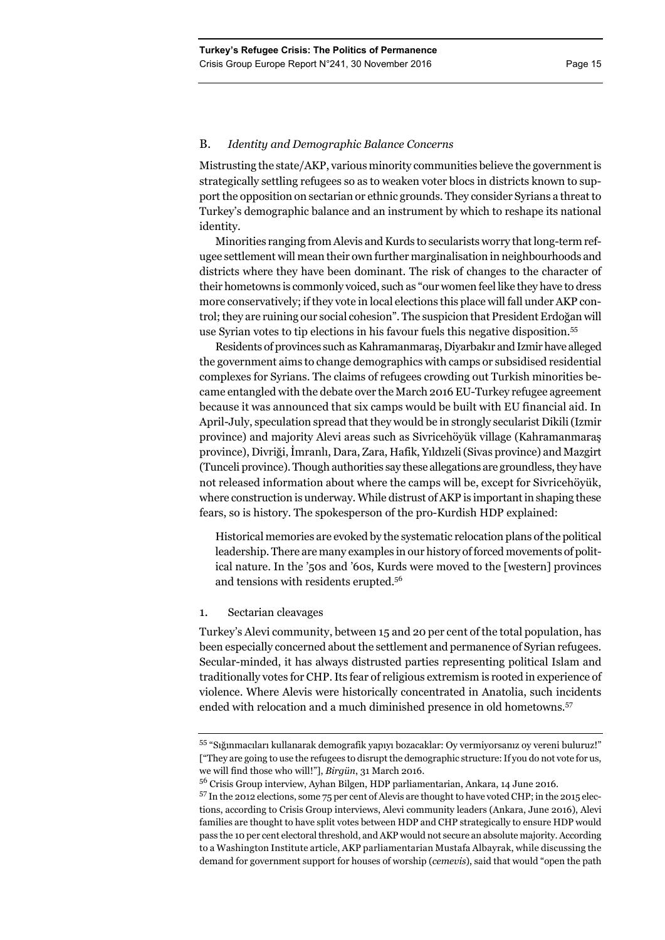# B. *Identity and Demographic Balance Concerns*

Mistrusting the state/AKP, various minority communities believe the government is strategically settling refugees so as to weaken voter blocs in districts known to support the opposition on sectarian or ethnic grounds. They consider Syrians a threat to Turkey's demographic balance and an instrument by which to reshape its national identity.

Minorities ranging from Alevis and Kurds to secularists worry that long-term refugee settlement will mean their own further marginalisation in neighbourhoods and districts where they have been dominant. The risk of changes to the character of their hometowns is commonly voiced, such as "our women feel like they have to dress more conservatively; if they vote in local elections this place will fall under AKP control; they are ruining our social cohesion". The suspicion that President Erdoğan will use Syrian votes to tip elections in his favour fuels this negative disposition.55

Residents of provinces such as Kahramanmaraş, Diyarbakır and Izmir have alleged the government aims to change demographics with camps or subsidised residential complexes for Syrians. The claims of refugees crowding out Turkish minorities became entangled with the debate over the March 2016 EU-Turkey refugee agreement because it was announced that six camps would be built with EU financial aid. In April-July, speculation spread that they would be in strongly secularist Dikili (Izmir province) and majority Alevi areas such as Sivricehöyük village (Kahramanmaraş province), Divriği, İmranlı, Dara, Zara, Hafik, Yıldızeli (Sivas province) and Mazgirt (Tunceli province). Though authorities say these allegations are groundless, they have not released information about where the camps will be, except for Sivricehöyük, where construction is underway. While distrust of AKP is important in shaping these fears, so is history. The spokesperson of the pro-Kurdish HDP explained:

Historical memories are evoked by the systematic relocation plans of the political leadership. There are many examples in our history of forced movements of political nature. In the '50s and '60s, Kurds were moved to the [western] provinces and tensions with residents erupted.56

# 1. Sectarian cleavages

Turkey's Alevi community, between 15 and 20 per cent of the total population, has been especially concerned about the settlement and permanence of Syrian refugees. Secular-minded, it has always distrusted parties representing political Islam and traditionally votes for CHP. Its fear of religious extremism is rooted in experience of violence. Where Alevis were historically concentrated in Anatolia, such incidents ended with relocation and a much diminished presence in old hometowns.<sup>57</sup>

<sup>55 &</sup>quot;Sığınmacıları kullanarak demografik yapıyı bozacaklar: Oy vermiyorsanız oy vereni buluruz!" ["They are going to use the refugees to disrupt the demographic structure: If you do not vote for us, we will find those who will!"], *Birgün*, 31 March 2016.

<sup>56</sup> Crisis Group interview, Ayhan Bilgen, HDP parliamentarian, Ankara, 14 June 2016.

<sup>57</sup> In the 2012 elections, some 75 per cent of Alevis are thought to have voted CHP; in the 2015 elections, according to Crisis Group interviews, Alevi community leaders (Ankara, June 2016), Alevi families are thought to have split votes between HDP and CHP strategically to ensure HDP would pass the 10 per cent electoral threshold, and AKP would not secure an absolute majority. According to a Washington Institute article, AKP parliamentarian Mustafa Albayrak, while discussing the demand for government support for houses of worship (*cemevis*), said that would "open the path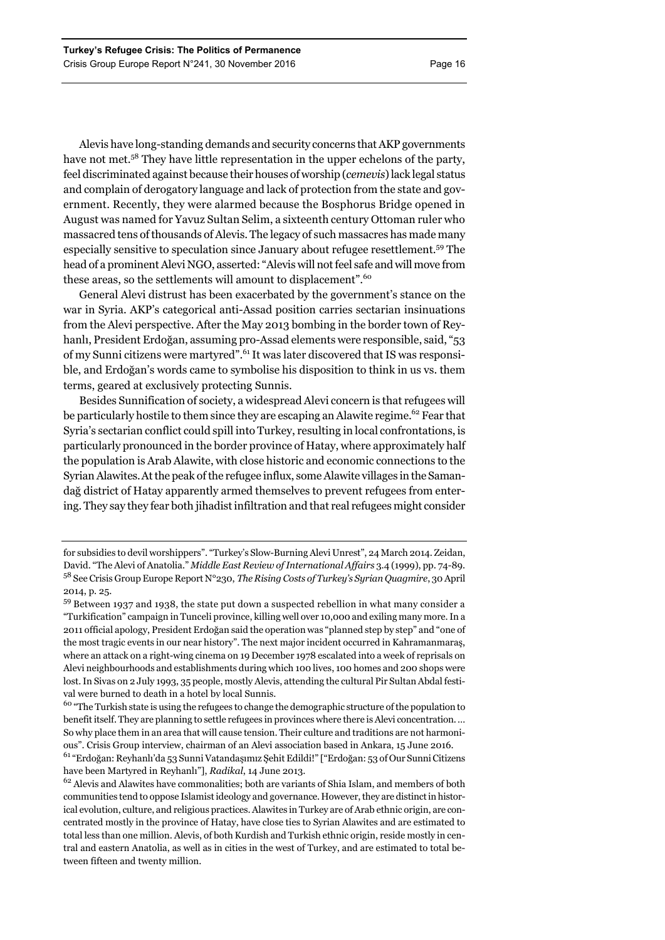Alevis have long-standing demands and security concerns that AKP governments have not met.<sup>58</sup> They have little representation in the upper echelons of the party, feel discriminated against because their houses of worship (*cemevis*) lack legal status and complain of derogatory language and lack of protection from the state and government. Recently, they were alarmed because the Bosphorus Bridge opened in August was named for Yavuz Sultan Selim, a sixteenth century Ottoman ruler who massacred tens of thousands of Alevis. The legacy of such massacres has made many especially sensitive to speculation since January about refugee resettlement.59 The head of a prominent Alevi NGO, asserted: "Alevis will not feel safe and will move from these areas, so the settlements will amount to displacement".<sup>60</sup>

General Alevi distrust has been exacerbated by the government's stance on the war in Syria. AKP's categorical anti-Assad position carries sectarian insinuations from the Alevi perspective. After the May 2013 bombing in the border town of Reyhanlı, President Erdoğan, assuming pro-Assad elements were responsible, said, "53 of my Sunni citizens were martyred".61 It was later discovered that IS was responsible, and Erdoğan's words came to symbolise his disposition to think in us vs. them terms, geared at exclusively protecting Sunnis.

Besides Sunnification of society, a widespread Alevi concern is that refugees will be particularly hostile to them since they are escaping an Alawite regime.<sup>62</sup> Fear that Syria's sectarian conflict could spill into Turkey, resulting in local confrontations, is particularly pronounced in the border province of Hatay, where approximately half the population is Arab Alawite, with close historic and economic connections to the Syrian Alawites.At the peak of the refugee influx, some Alawite villages in the Samandağ district of Hatay apparently armed themselves to prevent refugees from entering. They say they fear both jihadist infiltration and that real refugees might consider

for subsidies to devil worshippers". "Turkey's Slow-Burning Alevi Unrest", 24 March 2014. Zeidan, David. "The Alevi of Anatolia." *Middle East Review of International Affairs* 3.4 (1999), pp. 74-89. 58 See Crisis Group Europe Report N°230, *The Rising Costs of Turkey's Syrian Quagmire*, 30 April 2014, p. 25.

<sup>59</sup> Between 1937 and 1938, the state put down a suspected rebellion in what many consider a "Turkification" campaign in Tunceli province, killing well over 10,000 and exiling many more. In a 2011 official apology, President Erdoğan said the operation was "planned step by step" and "one of the most tragic events in our near history". The next major incident occurred in Kahramanmaraş, where an attack on a right-wing cinema on 19 December 1978 escalated into a week of reprisals on Alevi neighbourhoods and establishments during which 100 lives, 100 homes and 200 shops were lost. In Sivas on 2 July 1993, 35 people, mostly Alevis, attending the cultural Pir Sultan Abdal festival were burned to death in a hotel by local Sunnis.

<sup>&</sup>lt;sup>60</sup> "The Turkish state is using the refugees to change the demographic structure of the population to benefit itself. They are planning to settle refugees in provinces where there is Alevi concentration. … So why place them in an area that will cause tension. Their culture and traditions are not harmonious". Crisis Group interview, chairman of an Alevi association based in Ankara, 15 June 2016.

<sup>61 &</sup>quot;Erdoğan: Reyhanlı'da 53 Sunni Vatandaşımız Şehit Edildi!" ["Erdoğan: 53 of Our Sunni Citizens have been Martyred in Reyhanlı"], *Radikal*, 14 June 2013.

<sup>&</sup>lt;sup>62</sup> Alevis and Alawites have commonalities; both are variants of Shia Islam, and members of both communities tend to oppose Islamist ideology and governance. However, they are distinct in historical evolution, culture, and religious practices. Alawites in Turkey are of Arab ethnic origin, are concentrated mostly in the province of Hatay, have close ties to Syrian Alawites and are estimated to total less than one million. Alevis, of both Kurdish and Turkish ethnic origin, reside mostly in central and eastern Anatolia, as well as in cities in the west of Turkey, and are estimated to total between fifteen and twenty million.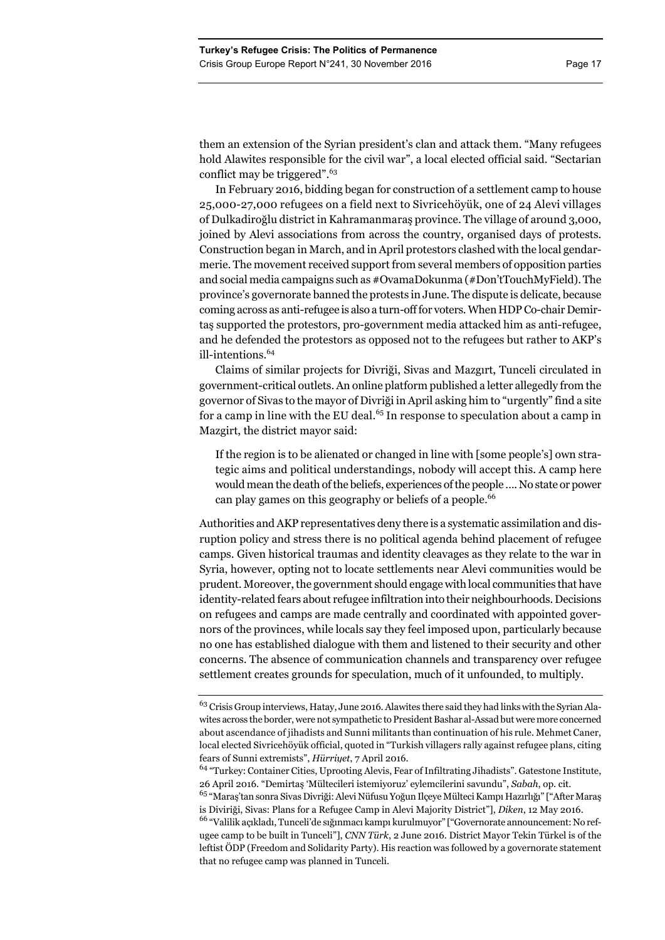them an extension of the Syrian president's clan and attack them. "Many refugees hold Alawites responsible for the civil war", a local elected official said. "Sectarian conflict may be triggered".63

In February 2016, bidding began for construction of a settlement camp to house 25,000-27,000 refugees on a field next to Sivricehöyük, one of 24 Alevi villages of Dulkadiroğlu district in Kahramanmaraş province. The village of around 3,000, joined by Alevi associations from across the country, organised days of protests. Construction began in March, and in April protestors clashed with the local gendarmerie. The movement received support from several members of opposition parties and social media campaigns such as #OvamaDokunma (#Don'tTouchMyField). The province's governorate banned the protests in June. The dispute is delicate, because coming across as anti-refugee is also a turn-off for voters. When HDP Co-chair Demirtaş supported the protestors, pro-government media attacked him as anti-refugee, and he defended the protestors as opposed not to the refugees but rather to AKP's ill-intentions.<sup>64</sup>

Claims of similar projects for Divriği, Sivas and Mazgırt, Tunceli circulated in government-critical outlets. An online platform published a letter allegedly from the governor of Sivas to the mayor of Divriği in April asking him to "urgently" find a site for a camp in line with the EU deal.<sup>65</sup> In response to speculation about a camp in Mazgirt, the district mayor said:

If the region is to be alienated or changed in line with [some people's] own strategic aims and political understandings, nobody will accept this. A camp here would mean the death of the beliefs, experiences of the people …. No state or power can play games on this geography or beliefs of a people.<sup>66</sup>

Authorities and AKP representatives deny there is a systematic assimilation and disruption policy and stress there is no political agenda behind placement of refugee camps. Given historical traumas and identity cleavages as they relate to the war in Syria, however, opting not to locate settlements near Alevi communities would be prudent. Moreover, the government should engage with local communities that have identity-related fears about refugee infiltration into their neighbourhoods. Decisions on refugees and camps are made centrally and coordinated with appointed governors of the provinces, while locals say they feel imposed upon, particularly because no one has established dialogue with them and listened to their security and other concerns. The absence of communication channels and transparency over refugee settlement creates grounds for speculation, much of it unfounded, to multiply.

<sup>&</sup>lt;sup>63</sup> Crisis Group interviews, Hatay, June 2016. Alawites there said they had links with the Syrian Alawites across the border, were not sympathetic to President Bashar al-Assad but were more concerned about ascendance of jihadists and Sunni militants than continuation of his rule. Mehmet Caner, local elected Sivricehöyük official, quoted in "Turkish villagers rally against refugee plans, citing fears of Sunni extremists", *Hürriyet*, 7 April 2016.

<sup>64 &</sup>quot;Turkey: Container Cities, Uprooting Alevis, Fear of Infiltrating Jihadists". Gatestone Institute, 26 April 2016. "Demirtaş 'Mültecileri istemiyoruz' eylemcilerini savundu", *Sabah*, op. cit.

<sup>&</sup>lt;sup>65</sup> "Maraş'tan sonra Sivas Divriği: Alevi Nüfusu Yoğun Ilçeye Mülteci Kampı Hazırlığı" ["After Maraş is Diviriği, Sivas: Plans for a Refugee Camp in Alevi Majority District"], *Diken*, 12 May 2016.

<sup>66 &</sup>quot;Valilik açıkladı, Tunceli'de sığınmacı kampı kurulmuyor" ["Governorate announcement: No refugee camp to be built in Tunceli"], *CNN Türk*, 2 June 2016. District Mayor Tekin Türkel is of the leftist ÖDP (Freedom and Solidarity Party). His reaction was followed by a governorate statement that no refugee camp was planned in Tunceli.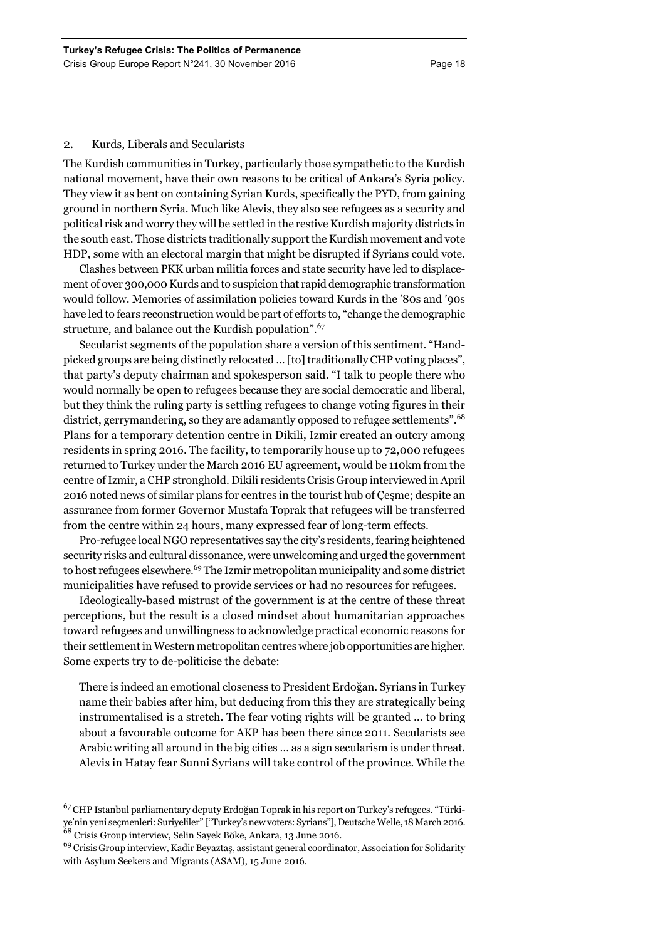# 2. Kurds, Liberals and Secularists

The Kurdish communities in Turkey, particularly those sympathetic to the Kurdish national movement, have their own reasons to be critical of Ankara's Syria policy. They view it as bent on containing Syrian Kurds, specifically the PYD, from gaining ground in northern Syria. Much like Alevis, they also see refugees as a security and political risk and worry they will be settled in the restive Kurdish majority districts in the south east. Those districts traditionally support the Kurdish movement and vote HDP, some with an electoral margin that might be disrupted if Syrians could vote.

Clashes between PKK urban militia forces and state security have led to displacement of over 300,000 Kurds and to suspicion that rapid demographic transformation would follow. Memories of assimilation policies toward Kurds in the '80s and '90s have led to fears reconstruction would be part of efforts to, "change the demographic structure, and balance out the Kurdish population".<sup>67</sup>

Secularist segments of the population share a version of this sentiment. "Handpicked groups are being distinctly relocated … [to] traditionally CHP voting places", that party's deputy chairman and spokesperson said. "I talk to people there who would normally be open to refugees because they are social democratic and liberal, but they think the ruling party is settling refugees to change voting figures in their district, gerrymandering, so they are adamantly opposed to refugee settlements".<sup>68</sup> Plans for a temporary detention centre in Dikili, Izmir created an outcry among residents in spring 2016. The facility, to temporarily house up to 72,000 refugees returned to Turkey under the March 2016 EU agreement, would be 110km from the centre of Izmir, a CHP stronghold. Dikili residents Crisis Group interviewed in April 2016 noted news of similar plans for centres in the tourist hub of Çeşme; despite an assurance from former Governor Mustafa Toprak that refugees will be transferred from the centre within 24 hours, many expressed fear of long-term effects.

Pro-refugee local NGO representatives say the city's residents, fearing heightened security risks and cultural dissonance, were unwelcoming and urged the government to host refugees elsewhere.<sup>69</sup> The Izmir metropolitan municipality and some district municipalities have refused to provide services or had no resources for refugees.

Ideologically-based mistrust of the government is at the centre of these threat perceptions, but the result is a closed mindset about humanitarian approaches toward refugees and unwillingness to acknowledge practical economic reasons for their settlement in Western metropolitan centres where job opportunities are higher. Some experts try to de-politicise the debate:

There is indeed an emotional closeness to President Erdoğan. Syrians in Turkey name their babies after him, but deducing from this they are strategically being instrumentalised is a stretch. The fear voting rights will be granted … to bring about a favourable outcome for AKP has been there since 2011. Secularists see Arabic writing all around in the big cities … as a sign secularism is under threat. Alevis in Hatay fear Sunni Syrians will take control of the province. While the

<sup>67</sup> CHP Istanbul parliamentary deputy Erdoğan Toprak in his report on Turkey's refugees. "Türkiye'nin yeni seçmenleri: Suriyeliler" ["Turkey's new voters: Syrians"], Deutsche Welle, 18 March 2016. 68 Crisis Group interview, Selin Sayek Böke, Ankara, 13 June 2016.

<sup>&</sup>lt;sup>69</sup> Crisis Group interview, Kadir Beyaztaş, assistant general coordinator, Association for Solidarity with Asylum Seekers and Migrants (ASAM), 15 June 2016.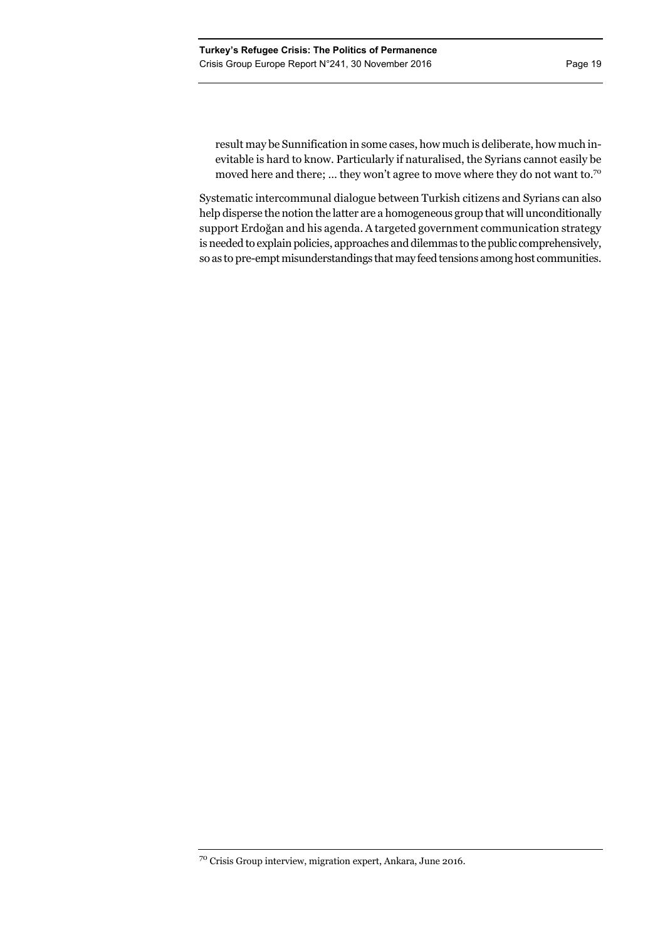result may be Sunnification in some cases, how much is deliberate, how much inevitable is hard to know. Particularly if naturalised, the Syrians cannot easily be moved here and there; ... they won't agree to move where they do not want to.<sup>70</sup>

Systematic intercommunal dialogue between Turkish citizens and Syrians can also help disperse the notion the latter are a homogeneous group that will unconditionally support Erdoğan and his agenda. A targeted government communication strategy is needed to explain policies, approaches and dilemmas to the public comprehensively, so as to pre-empt misunderstandings that may feed tensions among host communities.

 $^{70}$  Crisis Group interview, migration expert, Ankara, June 2016.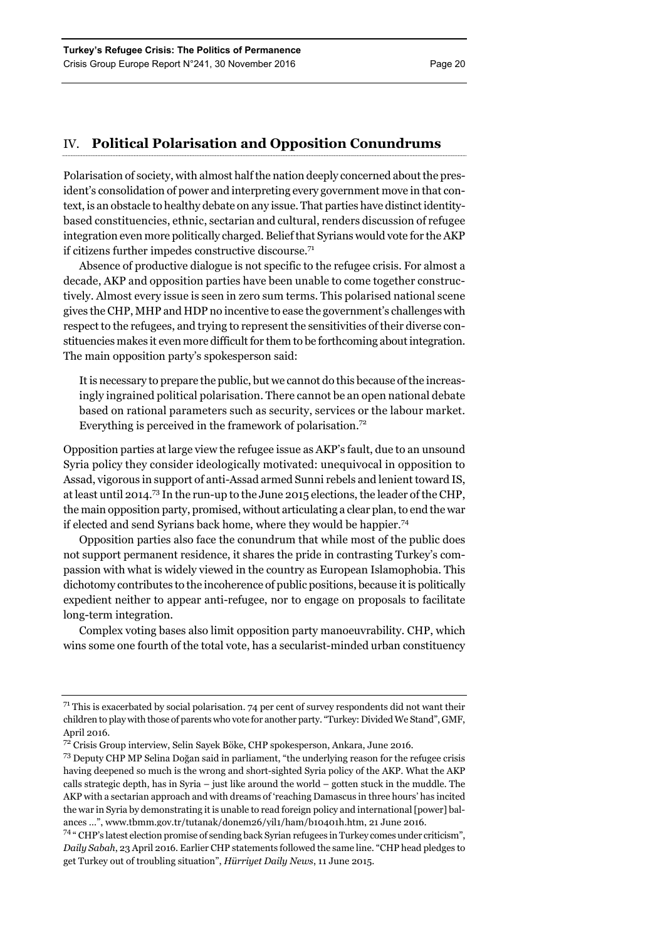# IV. **Political Polarisation and Opposition Conundrums**

Polarisation of society, with almost half the nation deeply concerned about the president's consolidation of power and interpreting every government move in that context, is an obstacle to healthy debate on any issue. That parties have distinct identitybased constituencies, ethnic, sectarian and cultural, renders discussion of refugee integration even more politically charged. Belief that Syrians would vote for the AKP if citizens further impedes constructive discourse.<sup>71</sup>

Absence of productive dialogue is not specific to the refugee crisis. For almost a decade, AKP and opposition parties have been unable to come together constructively. Almost every issue is seen in zero sum terms. This polarised national scene gives the CHP, MHP and HDP no incentive to ease the government's challenges with respect to the refugees, and trying to represent the sensitivities of their diverse constituencies makes it even more difficult for them to be forthcoming about integration. The main opposition party's spokesperson said:

It is necessary to prepare the public, but we cannot do this because of the increasingly ingrained political polarisation. There cannot be an open national debate based on rational parameters such as security, services or the labour market. Everything is perceived in the framework of polarisation.<sup>72</sup>

Opposition parties at large view the refugee issue as AKP's fault, due to an unsound Syria policy they consider ideologically motivated: unequivocal in opposition to Assad, vigorous in support of anti-Assad armed Sunni rebels and lenient toward IS, at least until 2014.73 In the run-up to the June 2015 elections, the leader of the CHP, the main opposition party, promised, without articulating a clear plan, to end the war if elected and send Syrians back home, where they would be happier.74

Opposition parties also face the conundrum that while most of the public does not support permanent residence, it shares the pride in contrasting Turkey's compassion with what is widely viewed in the country as European Islamophobia. This dichotomy contributes to the incoherence of public positions, because it is politically expedient neither to appear anti-refugee, nor to engage on proposals to facilitate long-term integration.

Complex voting bases also limit opposition party manoeuvrability. CHP, which wins some one fourth of the total vote, has a secularist-minded urban constituency

 $71$  This is exacerbated by social polarisation. 74 per cent of survey respondents did not want their children to play with those of parents who vote for another party. "Turkey: Divided We Stand", GMF, April 2016.

<sup>72</sup> Crisis Group interview, Selin Sayek Böke, CHP spokesperson, Ankara, June 2016.

<sup>73</sup> Deputy CHP MP Selina Doğan said in parliament, "the underlying reason for the refugee crisis having deepened so much is the wrong and short-sighted Syria policy of the AKP. What the AKP calls strategic depth, has in Syria – just like around the world – gotten stuck in the muddle. The AKP with a sectarian approach and with dreams of 'reaching Damascus in three hours' has incited the war in Syria by demonstrating it is unable to read foreign policy and international [power] balances …", www.tbmm.gov.tr/tutanak/donem26/yil1/ham/b10401h.htm, 21 June 2016.

<sup>74 &</sup>quot; CHP's latest election promise of sending back Syrian refugees in Turkey comes under criticism", *Daily Sabah*, 23 April 2016. Earlier CHP statements followed the same line. "CHP head pledges to get Turkey out of troubling situation", *Hürriyet Daily News*, 11 June 2015.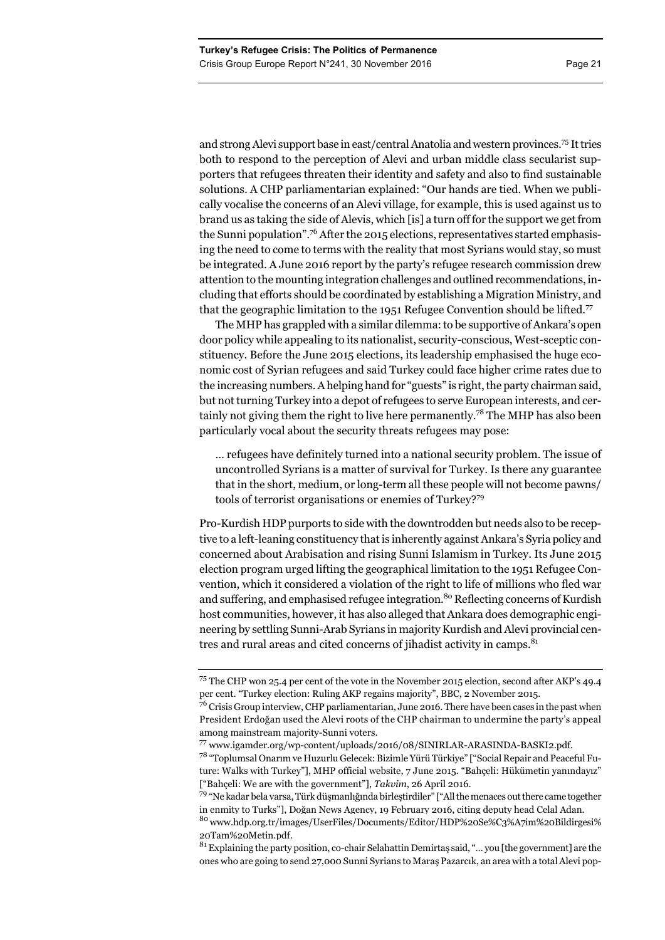and strong Alevi support base in east/central Anatolia and western provinces.75 It tries both to respond to the perception of Alevi and urban middle class secularist supporters that refugees threaten their identity and safety and also to find sustainable solutions. A CHP parliamentarian explained: "Our hands are tied. When we publically vocalise the concerns of an Alevi village, for example, this is used against us to brand us as taking the side of Alevis, which [is] a turn off for the support we get from the Sunni population".76 After the 2015 elections, representatives started emphasising the need to come to terms with the reality that most Syrians would stay, so must be integrated. A June 2016 report by the party's refugee research commission drew attention to the mounting integration challenges and outlined recommendations, including that efforts should be coordinated by establishing a Migration Ministry, and that the geographic limitation to the 1951 Refugee Convention should be lifted.<sup>77</sup>

The MHP has grappled with a similar dilemma: to be supportive of Ankara's open door policy while appealing to its nationalist, security-conscious, West-sceptic constituency. Before the June 2015 elections, its leadership emphasised the huge economic cost of Syrian refugees and said Turkey could face higher crime rates due to the increasing numbers. A helping hand for "guests" is right, the party chairman said, but not turning Turkey into a depot of refugees to serve European interests, and certainly not giving them the right to live here permanently.<sup>78</sup> The MHP has also been particularly vocal about the security threats refugees may pose:

… refugees have definitely turned into a national security problem. The issue of uncontrolled Syrians is a matter of survival for Turkey. Is there any guarantee that in the short, medium, or long-term all these people will not become pawns/ tools of terrorist organisations or enemies of Turkey?<sup>79</sup>

Pro-Kurdish HDP purports to side with the downtrodden but needs also to be receptive to a left-leaning constituency that is inherently against Ankara's Syria policy and concerned about Arabisation and rising Sunni Islamism in Turkey. Its June 2015 election program urged lifting the geographical limitation to the 1951 Refugee Convention, which it considered a violation of the right to life of millions who fled war and suffering, and emphasised refugee integration.<sup>80</sup> Reflecting concerns of Kurdish host communities, however, it has also alleged that Ankara does demographic engineering by settling Sunni-Arab Syrians in majority Kurdish and Alevi provincial centres and rural areas and cited concerns of jihadist activity in camps.<sup>81</sup>

 $81$  Explaining the party position, co-chair Selahattin Demirtaş said, "... you [the government] are the ones who are going to send 27,000 Sunni Syrians to Maraş Pazarcık, an area with a total Alevi pop-

<sup>75</sup> The CHP won 25.4 per cent of the vote in the November 2015 election, second after AKP's 49.4 per cent. "Turkey election: Ruling AKP regains majority", BBC, 2 November 2015.

 $^{76}$  Crisis Group interview, CHP parliamentarian, June 2016. There have been cases in the past when President Erdoğan used the Alevi roots of the CHP chairman to undermine the party's appeal among mainstream majority-Sunni voters.

<sup>77</sup> www.igamder.org/wp-content/uploads/2016/08/SINIRLAR-ARASINDA-BASKI2.pdf.

<sup>78 &</sup>quot;Toplumsal Onarım ve Huzurlu Gelecek: Bizimle Yürü Türkiye" ["Social Repair and Peaceful Future: Walks with Turkey"], MHP official website, 7 June 2015. "Bahçeli: Hükümetin yanındayız" ["Bahçeli: We are with the government"], *Takvim*, 26 April 2016.

<sup>79 &</sup>quot;Ne kadar bela varsa, Türk düşmanlığında birleştirdiler" ["All the menaces out there came together in enmity to Turks"], Doğan News Agency, 19 February 2016, citing deputy head Celal Adan.

 $^{80}\,$ www.hdp.org.tr/images/UserFiles/Documents/Editor/HDP%20Se%C3%A7im%20Bildirgesi% 20Tam%20Metin.pdf.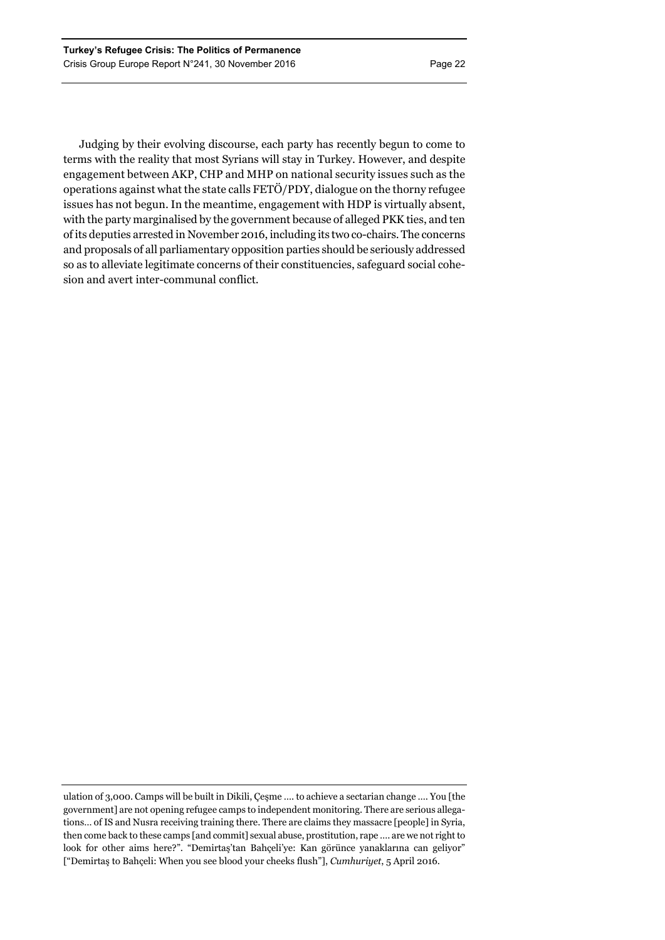Judging by their evolving discourse, each party has recently begun to come to terms with the reality that most Syrians will stay in Turkey. However, and despite engagement between AKP, CHP and MHP on national security issues such as the operations against what the state calls FETÖ/PDY, dialogue on the thorny refugee issues has not begun. In the meantime, engagement with HDP is virtually absent, with the party marginalised by the government because of alleged PKK ties, and ten of its deputies arrested in November 2016, including its two co-chairs. The concerns and proposals of all parliamentary opposition parties should be seriously addressed so as to alleviate legitimate concerns of their constituencies, safeguard social cohesion and avert inter-communal conflict.

ulation of 3,000. Camps will be built in Dikili, Çeşme …. to achieve a sectarian change …. You [the government] are not opening refugee camps to independent monitoring. There are serious allegations… of IS and Nusra receiving training there. There are claims they massacre [people] in Syria, then come back to these camps [and commit] sexual abuse, prostitution, rape …. are we not right to look for other aims here?". "Demirtaş'tan Bahçeli'ye: Kan görünce yanaklarına can geliyor" ["Demirtaş to Bahçeli: When you see blood your cheeks flush"], *Cumhuriyet*, 5 April 2016.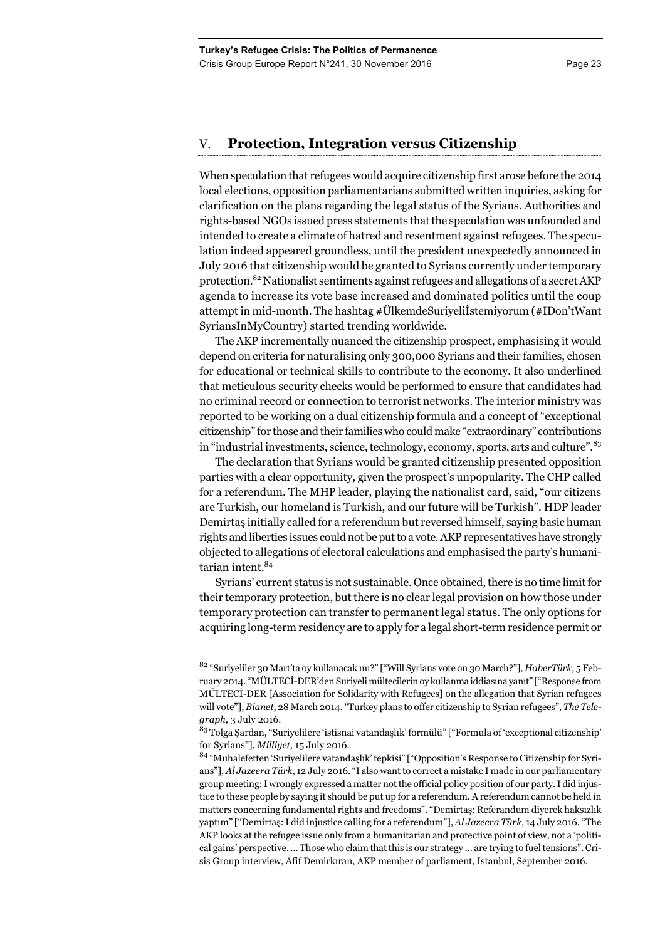# V. **Protection, Integration versus Citizenship**

When speculation that refugees would acquire citizenship first arose before the 2014 local elections, opposition parliamentarians submitted written inquiries, asking for clarification on the plans regarding the legal status of the Syrians. Authorities and rights-based NGOs issued press statements that the speculation was unfounded and intended to create a climate of hatred and resentment against refugees. The speculation indeed appeared groundless, until the president unexpectedly announced in July 2016 that citizenship would be granted to Syrians currently under temporary protection.82 Nationalist sentiments against refugees and allegations of a secret AKP agenda to increase its vote base increased and dominated politics until the coup attempt in mid-month. The hashtag #ÜlkemdeSuriyeliİstemiyorum (#IDon'tWant SyriansInMyCountry) started trending worldwide.

The AKP incrementally nuanced the citizenship prospect, emphasising it would depend on criteria for naturalising only 300,000 Syrians and their families, chosen for educational or technical skills to contribute to the economy. It also underlined that meticulous security checks would be performed to ensure that candidates had no criminal record or connection to terrorist networks. The interior ministry was reported to be working on a dual citizenship formula and a concept of "exceptional citizenship" for those and their families who could make "extraordinary" contributions in "industrial investments, science, technology, economy, sports, arts and culture".<sup>83</sup>

The declaration that Syrians would be granted citizenship presented opposition parties with a clear opportunity, given the prospect's unpopularity. The CHP called for a referendum. The MHP leader, playing the nationalist card, said, "our citizens are Turkish, our homeland is Turkish, and our future will be Turkish". HDP leader Demirtaş initially called for a referendum but reversed himself, saying basic human rights and liberties issues could not be put to a vote. AKP representatives have strongly objected to allegations of electoral calculations and emphasised the party's humanitarian intent.<sup>84</sup>

Syrians' current status is not sustainable. Once obtained, there is no time limit for their temporary protection, but there is no clear legal provision on how those under temporary protection can transfer to permanent legal status. The only options for acquiring long-term residency are to apply for a legal short-term residence permit or

<sup>82 &</sup>quot;Suriyeliler 30 Mart'ta oy kullanacak mı?" ["Will Syrians vote on 30 March?"], *HaberTürk*, 5 February 2014. "MÜLTECİ-DER'den Suriyeli mültecilerin oy kullanma iddiasına yanıt" ["Response from MÜLTECİ-DER [Association for Solidarity with Refugees] on the allegation that Syrian refugees will vote"], *Bianet*, 28 March 2014. "Turkey plans to offer citizenship to Syrian refugees", *The Telegraph*, 3 July 2016.

<sup>&</sup>lt;sup>83</sup> Tolga Şardan, "Suriyelilere 'istisnai vatandaşlık' formülü" ["Formula of 'exceptional citizenship' for Syrians"], *Milliyet*, 15 July 2016.

<sup>84 &</sup>quot;Muhalefetten 'Suriyelilere vatandaşlık' tepkisi" ["Opposition's Response to Citizenship for Syrians"], *Al Jazeera Türk*, 12 July 2016. "I also want to correct a mistake I made in our parliamentary group meeting: I wrongly expressed a matter not the official policy position of our party. I did injustice to these people by saying it should be put up for a referendum. A referendum cannot be held in matters concerning fundamental rights and freedoms". "Demirtaş: Referandum diyerek haksızlık yaptım" ["Demirtaş: I did injustice calling for a referendum"], *Al Jazeera Türk*, 14 July 2016. "The AKP looks at the refugee issue only from a humanitarian and protective point of view, not a 'political gains' perspective. … Those who claim that this is our strategy … are trying to fuel tensions". Crisis Group interview, Afif Demirkıran, AKP member of parliament, Istanbul, September 2016.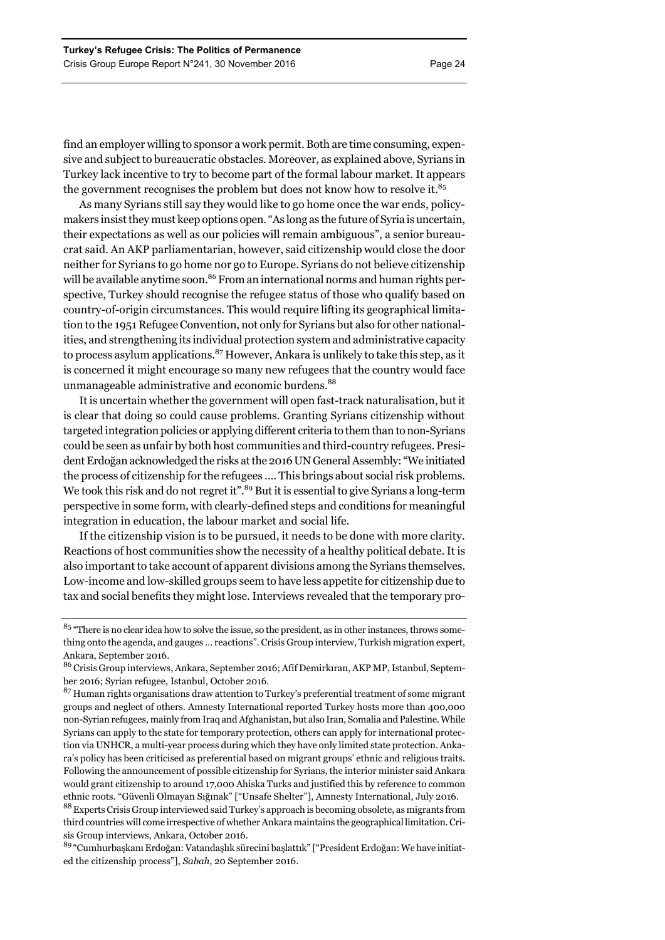find an employer willing to sponsor a work permit. Both are time consuming, expensive and subject to bureaucratic obstacles. Moreover, as explained above, Syrians in Turkey lack incentive to try to become part of the formal labour market. It appears the government recognises the problem but does not know how to resolve it. $85$ 

As many Syrians still say they would like to go home once the war ends, policymakers insist they must keep options open. "As long as the future of Syria is uncertain, their expectations as well as our policies will remain ambiguous", a senior bureaucrat said. An AKP parliamentarian, however, said citizenship would close the door neither for Syrians to go home nor go to Europe. Syrians do not believe citizenship will be available anytime soon.<sup>86</sup> From an international norms and human rights perspective, Turkey should recognise the refugee status of those who qualify based on country-of-origin circumstances. This would require lifting its geographical limitation to the 1951 Refugee Convention, not only for Syrians but also for other nationalities, and strengthening its individual protection system and administrative capacity to process asylum applications.<sup>87</sup> However, Ankara is unlikely to take this step, as it is concerned it might encourage so many new refugees that the country would face unmanageable administrative and economic burdens.<sup>88</sup>

It is uncertain whether the government will open fast-track naturalisation, but it is clear that doing so could cause problems. Granting Syrians citizenship without targeted integration policies or applying different criteria to them than to non-Syrians could be seen as unfair by both host communities and third-country refugees. President Erdoğan acknowledged the risks at the 2016 UN General Assembly: "We initiated the process of citizenship for the refugees …. This brings about social risk problems. We took this risk and do not regret it".<sup>89</sup> But it is essential to give Syrians a long-term perspective in some form, with clearly-defined steps and conditions for meaningful integration in education, the labour market and social life.

If the citizenship vision is to be pursued, it needs to be done with more clarity. Reactions of host communities show the necessity of a healthy political debate. It is also important to take account of apparent divisions among the Syrians themselves. Low-income and low-skilled groups seem to have less appetite for citizenship due to tax and social benefits they might lose. Interviews revealed that the temporary pro-

88 Experts Crisis Group interviewed said Turkey's approach is becoming obsolete, as migrants from third countries will come irrespective of whether Ankara maintains the geographical limitation. Crisis Group interviews, Ankara, October 2016.

89 "Cumhurbaşkanı Erdoğan: Vatandaşlık sürecini başlattık" ["President Erdoğan: We have initiated the citizenship process"], *Sabah*, 20 September 2016.

<sup>&</sup>lt;sup>85</sup> "There is no clear idea how to solve the issue, so the president, as in other instances, throws something onto the agenda, and gauges … reactions". Crisis Group interview, Turkish migration expert, Ankara, September 2016.

<sup>86</sup> Crisis Group interviews, Ankara, September 2016; Afif Demirkıran, AKP MP, Istanbul, September 2016; Syrian refugee, Istanbul, October 2016.

 $87$  Human rights organisations draw attention to Turkey's preferential treatment of some migrant groups and neglect of others. Amnesty International reported Turkey hosts more than 400,000 non-Syrian refugees, mainly from Iraq and Afghanistan, but also Iran, Somalia and Palestine. While Syrians can apply to the state for temporary protection, others can apply for international protection via UNHCR, a multi-year process during which they have only limited state protection. Ankara's policy has been criticised as preferential based on migrant groups' ethnic and religious traits. Following the announcement of possible citizenship for Syrians, the interior minister said Ankara would grant citizenship to around 17,000 Ahiska Turks and justified this by reference to common ethnic roots. "Güvenli Olmayan Sığınak" ["Unsafe Shelter"], Amnesty International, July 2016.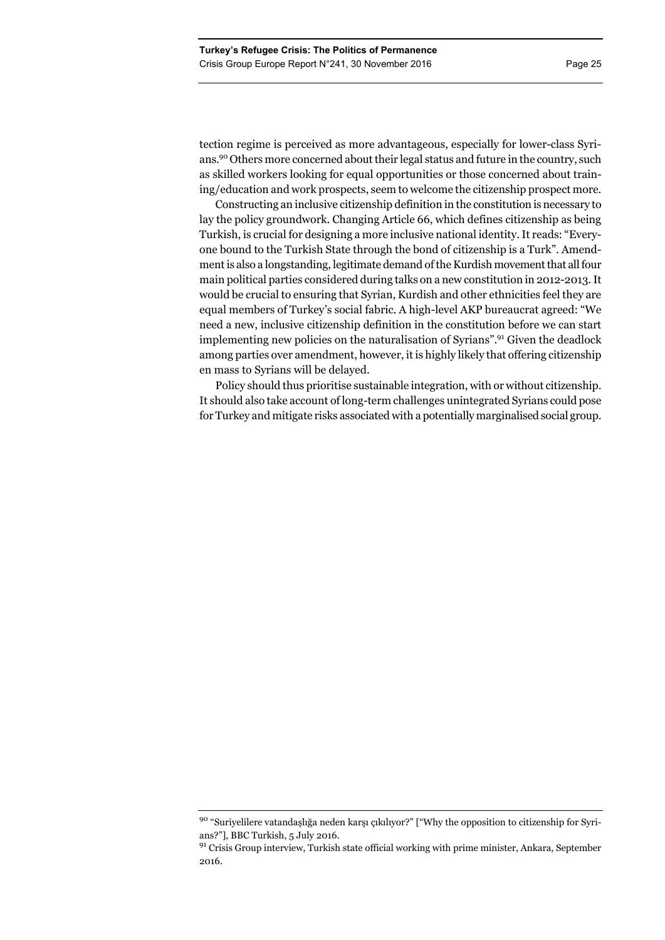tection regime is perceived as more advantageous, especially for lower-class Syrians.90 Others more concerned about their legal status and future in the country, such as skilled workers looking for equal opportunities or those concerned about training/education and work prospects, seem to welcome the citizenship prospect more.

Constructing an inclusive citizenship definition in the constitution is necessary to lay the policy groundwork. Changing Article 66, which defines citizenship as being Turkish, is crucial for designing a more inclusive national identity. It reads: "Everyone bound to the Turkish State through the bond of citizenship is a Turk". Amendment is also a longstanding, legitimate demand of the Kurdish movement that all four main political parties considered during talks on a new constitution in 2012-2013. It would be crucial to ensuring that Syrian, Kurdish and other ethnicities feel they are equal members of Turkey's social fabric. A high-level AKP bureaucrat agreed: "We need a new, inclusive citizenship definition in the constitution before we can start implementing new policies on the naturalisation of Syrians".<sup>91</sup> Given the deadlock among parties over amendment, however, it is highly likely that offering citizenship en mass to Syrians will be delayed.

Policy should thus prioritise sustainable integration, with or without citizenship. It should also take account of long-term challenges unintegrated Syrians could pose for Turkey and mitigate risks associated with a potentially marginalised social group.

<sup>90 &</sup>quot;Suriyelilere vatandaşlığa neden karşı çıkılıyor?" ["Why the opposition to citizenship for Syrians?"], BBC Turkish, 5 July 2016.

<sup>&</sup>lt;sup>91</sup> Crisis Group interview, Turkish state official working with prime minister, Ankara, September 2016.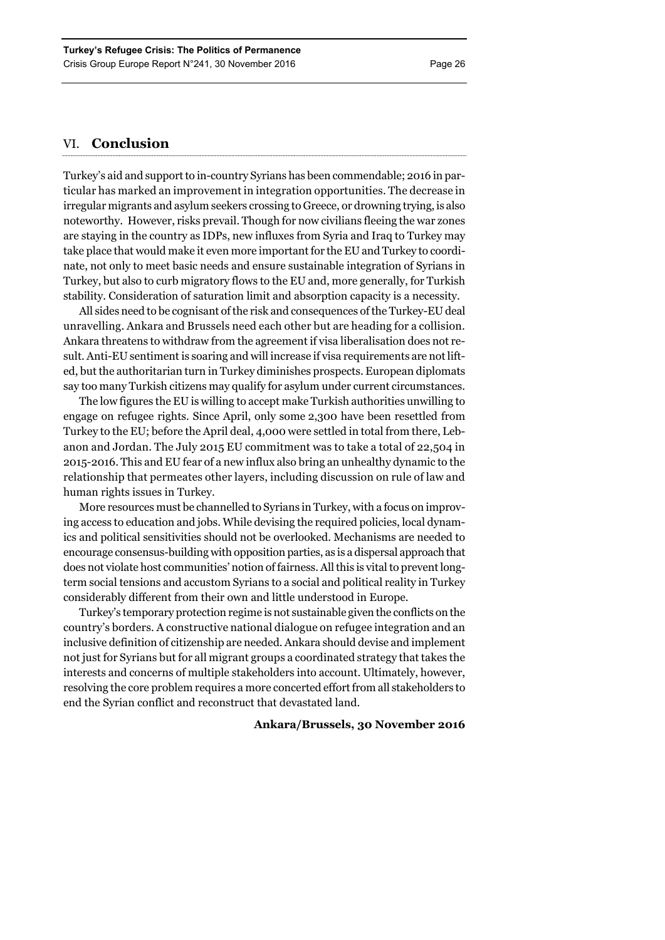# VI. **Conclusion**

Turkey's aid and support to in-country Syrians has been commendable; 2016 in particular has marked an improvement in integration opportunities. The decrease in irregular migrants and asylum seekers crossing to Greece, or drowning trying, is also noteworthy. However, risks prevail. Though for now civilians fleeing the war zones are staying in the country as IDPs, new influxes from Syria and Iraq to Turkey may take place that would make it even more important for the EU and Turkey to coordinate, not only to meet basic needs and ensure sustainable integration of Syrians in Turkey, but also to curb migratory flows to the EU and, more generally, for Turkish stability. Consideration of saturation limit and absorption capacity is a necessity.

All sides need to be cognisant of the risk and consequences of the Turkey-EU deal unravelling. Ankara and Brussels need each other but are heading for a collision. Ankara threatens to withdraw from the agreement if visa liberalisation does not result. Anti-EU sentiment is soaring and will increase if visa requirements are not lifted, but the authoritarian turn in Turkey diminishes prospects. European diplomats say too many Turkish citizens may qualify for asylum under current circumstances.

The low figures the EU is willing to accept make Turkish authorities unwilling to engage on refugee rights. Since April, only some 2,300 have been resettled from Turkey to the EU; before the April deal, 4,000 were settled in total from there, Lebanon and Jordan. The July 2015 EU commitment was to take a total of 22,504 in 2015-2016. This and EU fear of a new influx also bring an unhealthy dynamic to the relationship that permeates other layers, including discussion on rule of law and human rights issues in Turkey.

More resources must be channelled to Syrians in Turkey, with a focus on improving access to education and jobs. While devising the required policies, local dynamics and political sensitivities should not be overlooked. Mechanisms are needed to encourage consensus-building with opposition parties, as is a dispersal approach that does not violate host communities' notion of fairness. All this is vital to prevent longterm social tensions and accustom Syrians to a social and political reality in Turkey considerably different from their own and little understood in Europe.

Turkey's temporary protection regime is not sustainable given the conflicts on the country's borders. A constructive national dialogue on refugee integration and an inclusive definition of citizenship are needed. Ankara should devise and implement not just for Syrians but for all migrant groups a coordinated strategy that takes the interests and concerns of multiple stakeholders into account. Ultimately, however, resolving the core problem requires a more concerted effort from all stakeholders to end the Syrian conflict and reconstruct that devastated land.

### **Ankara/Brussels, 30 November 2016**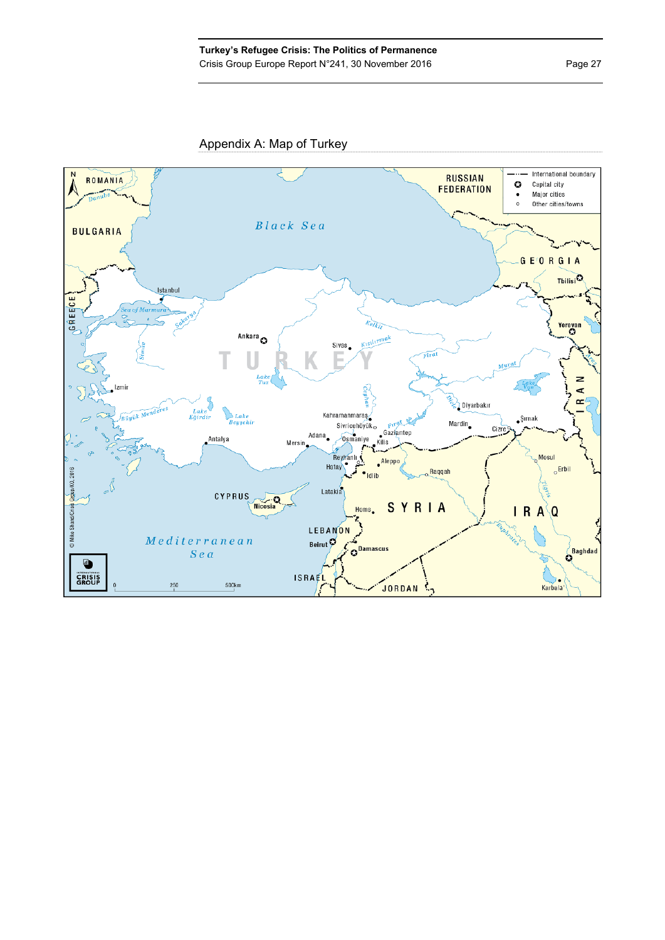Appendix A: Map of Turkey

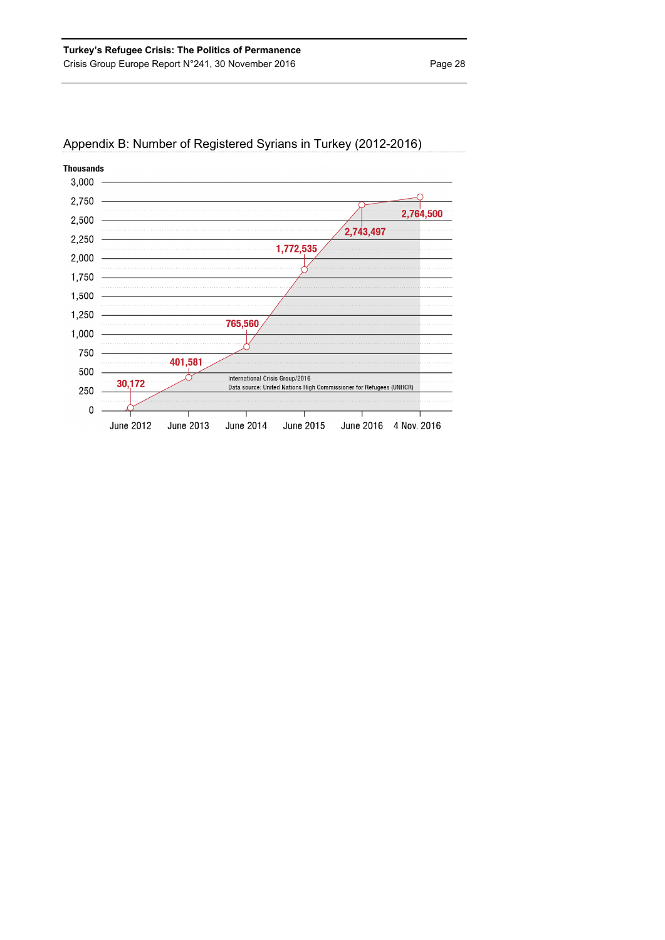

# Appendix B: Number of Registered Syrians in Turkey (2012-2016)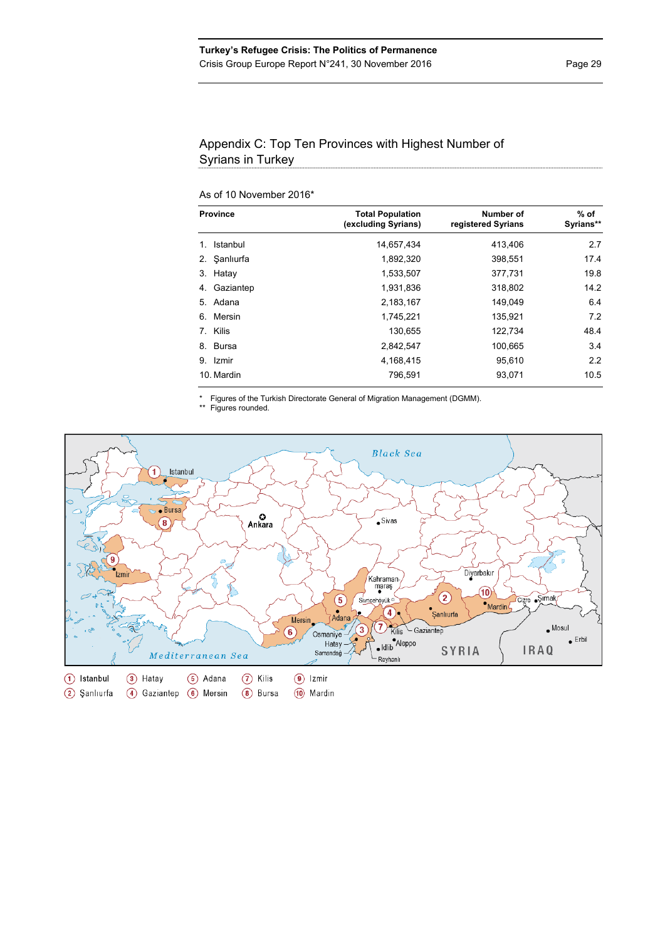# Appendix C: Top Ten Provinces with Highest Number of Syrians in Turkey

# As of 10 November 2016\*

| <b>Province</b> | <b>Total Population</b><br>(excluding Syrians) | Number of<br>registered Syrians | % of<br>Syrians** |
|-----------------|------------------------------------------------|---------------------------------|-------------------|
| Istanbul<br>1.  | 14,657,434                                     | 413,406                         | 2.7               |
| 2. Sanlıurfa    | 1,892,320                                      | 398,551                         | 17.4              |
| 3. Hatay        | 1,533,507                                      | 377,731                         | 19.8              |
| Gaziantep<br>4. | 1,931,836                                      | 318,802                         | 14.2              |
| Adana<br>5.     | 2,183,167                                      | 149.049                         | 6.4               |
| Mersin<br>6.    | 1.745.221                                      | 135,921                         | 7.2               |
| 7. Kilis        | 130,655                                        | 122,734                         | 48.4              |
| 8. Bursa        | 2,842,547                                      | 100.665                         | 3.4               |
| 9.<br>Izmir     | 4,168,415                                      | 95.610                          | 2.2               |
| 10. Mardin      | 796,591                                        | 93,071                          | 10.5              |

\* Figures of the Turkish Directorate General of Migration Management (DGMM).

Figures rounded.

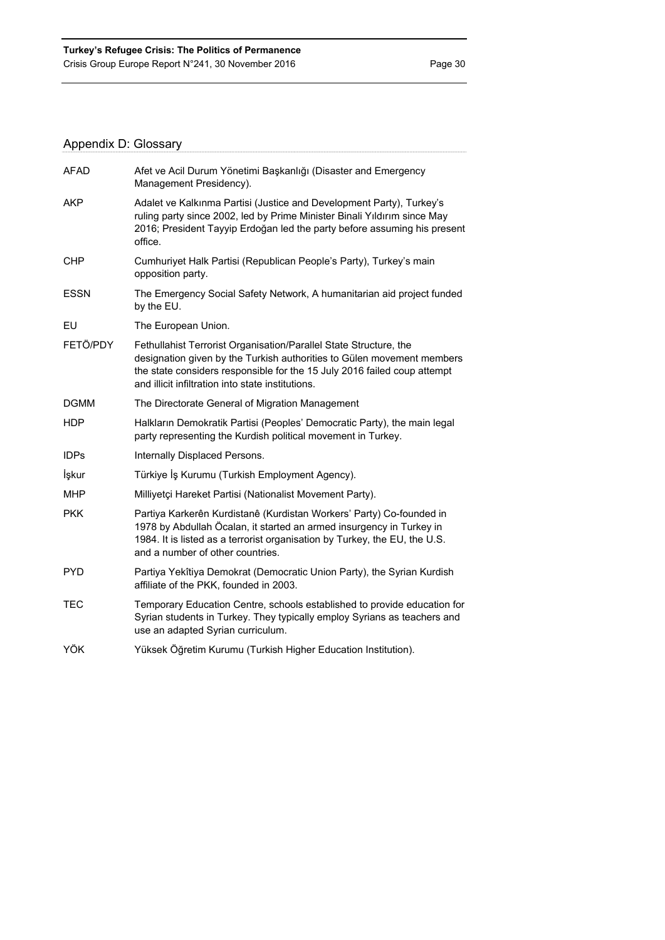# Appendix D: Glossary

| <b>AFAD</b> | Afet ve Acil Durum Yönetimi Başkanlığı (Disaster and Emergency<br>Management Presidency).                                                                                                                                                                                    |
|-------------|------------------------------------------------------------------------------------------------------------------------------------------------------------------------------------------------------------------------------------------------------------------------------|
| AKP         | Adalet ve Kalkınma Partisi (Justice and Development Party), Turkey's<br>ruling party since 2002, led by Prime Minister Binali Yıldırım since May<br>2016; President Tayyip Erdoğan led the party before assuming his present<br>office.                                      |
| <b>CHP</b>  | Cumhuriyet Halk Partisi (Republican People's Party), Turkey's main<br>opposition party.                                                                                                                                                                                      |
| <b>ESSN</b> | The Emergency Social Safety Network, A humanitarian aid project funded<br>by the EU.                                                                                                                                                                                         |
| EU          | The European Union.                                                                                                                                                                                                                                                          |
| FETÖ/PDY    | Fethullahist Terrorist Organisation/Parallel State Structure, the<br>designation given by the Turkish authorities to Gülen movement members<br>the state considers responsible for the 15 July 2016 failed coup attempt<br>and illicit infiltration into state institutions. |
| <b>DGMM</b> | The Directorate General of Migration Management                                                                                                                                                                                                                              |
| <b>HDP</b>  | Halkların Demokratik Partisi (Peoples' Democratic Party), the main legal<br>party representing the Kurdish political movement in Turkey.                                                                                                                                     |
| <b>IDPs</b> | Internally Displaced Persons.                                                                                                                                                                                                                                                |
| İşkur       | Türkiye İş Kurumu (Turkish Employment Agency).                                                                                                                                                                                                                               |
| <b>MHP</b>  | Milliyetçi Hareket Partisi (Nationalist Movement Party).                                                                                                                                                                                                                     |
| <b>PKK</b>  | Partiya Karkerên Kurdistanê (Kurdistan Workers' Party) Co-founded in<br>1978 by Abdullah Öcalan, it started an armed insurgency in Turkey in<br>1984. It is listed as a terrorist organisation by Turkey, the EU, the U.S.<br>and a number of other countries.               |
| <b>PYD</b>  | Partiya Yekîtiya Demokrat (Democratic Union Party), the Syrian Kurdish<br>affiliate of the PKK, founded in 2003.                                                                                                                                                             |
| <b>TEC</b>  | Temporary Education Centre, schools established to provide education for<br>Syrian students in Turkey. They typically employ Syrians as teachers and<br>use an adapted Syrian curriculum.                                                                                    |
| YÖK         | Yüksek Öğretim Kurumu (Turkish Higher Education Institution).                                                                                                                                                                                                                |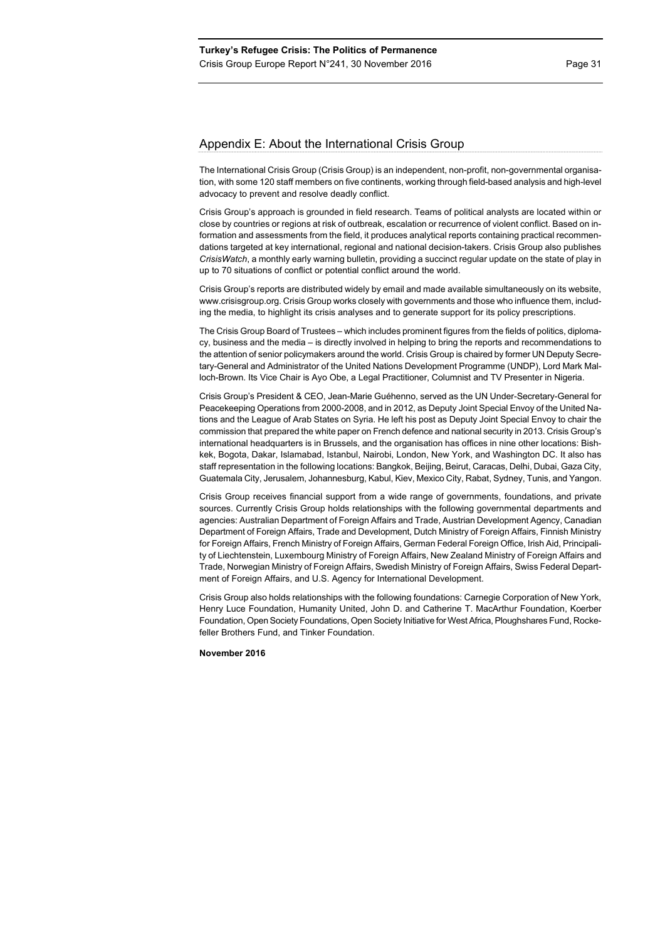# Appendix E: About the International Crisis Group

The International Crisis Group (Crisis Group) is an independent, non-profit, non-governmental organisation, with some 120 staff members on five continents, working through field-based analysis and high-level advocacy to prevent and resolve deadly conflict.

Crisis Group's approach is grounded in field research. Teams of political analysts are located within or close by countries or regions at risk of outbreak, escalation or recurrence of violent conflict. Based on information and assessments from the field, it produces analytical reports containing practical recommendations targeted at key international, regional and national decision-takers. Crisis Group also publishes *CrisisWatch*, a monthly early warning bulletin, providing a succinct regular update on the state of play in up to 70 situations of conflict or potential conflict around the world.

Crisis Group's reports are distributed widely by email and made available simultaneously on its website, www.crisisgroup.org. Crisis Group works closely with governments and those who influence them, including the media, to highlight its crisis analyses and to generate support for its policy prescriptions.

The Crisis Group Board of Trustees – which includes prominent figures from the fields of politics, diplomacy, business and the media – is directly involved in helping to bring the reports and recommendations to the attention of senior policymakers around the world. Crisis Group is chaired by former UN Deputy Secretary-General and Administrator of the United Nations Development Programme (UNDP), Lord Mark Malloch-Brown. Its Vice Chair is Ayo Obe, a Legal Practitioner, Columnist and TV Presenter in Nigeria.

Crisis Group's President & CEO, Jean-Marie Guéhenno, served as the UN Under-Secretary-General for Peacekeeping Operations from 2000-2008, and in 2012, as Deputy Joint Special Envoy of the United Nations and the League of Arab States on Syria. He left his post as Deputy Joint Special Envoy to chair the commission that prepared the white paper on French defence and national security in 2013. Crisis Group's international headquarters is in Brussels, and the organisation has offices in nine other locations: Bishkek, Bogota, Dakar, Islamabad, Istanbul, Nairobi, London, New York, and Washington DC. It also has staff representation in the following locations: Bangkok, Beijing, Beirut, Caracas, Delhi, Dubai, Gaza City, Guatemala City, Jerusalem, Johannesburg, Kabul, Kiev, Mexico City, Rabat, Sydney, Tunis, and Yangon.

Crisis Group receives financial support from a wide range of governments, foundations, and private sources. Currently Crisis Group holds relationships with the following governmental departments and agencies: Australian Department of Foreign Affairs and Trade, Austrian Development Agency, Canadian Department of Foreign Affairs, Trade and Development, Dutch Ministry of Foreign Affairs, Finnish Ministry for Foreign Affairs, French Ministry of Foreign Affairs, German Federal Foreign Office, Irish Aid, Principality of Liechtenstein, Luxembourg Ministry of Foreign Affairs, New Zealand Ministry of Foreign Affairs and Trade, Norwegian Ministry of Foreign Affairs, Swedish Ministry of Foreign Affairs, Swiss Federal Department of Foreign Affairs, and U.S. Agency for International Development.

Crisis Group also holds relationships with the following foundations: Carnegie Corporation of New York, Henry Luce Foundation, Humanity United, John D. and Catherine T. MacArthur Foundation, Koerber Foundation, Open Society Foundations, Open Society Initiative for West Africa, Ploughshares Fund, Rockefeller Brothers Fund, and Tinker Foundation.

**November 2016**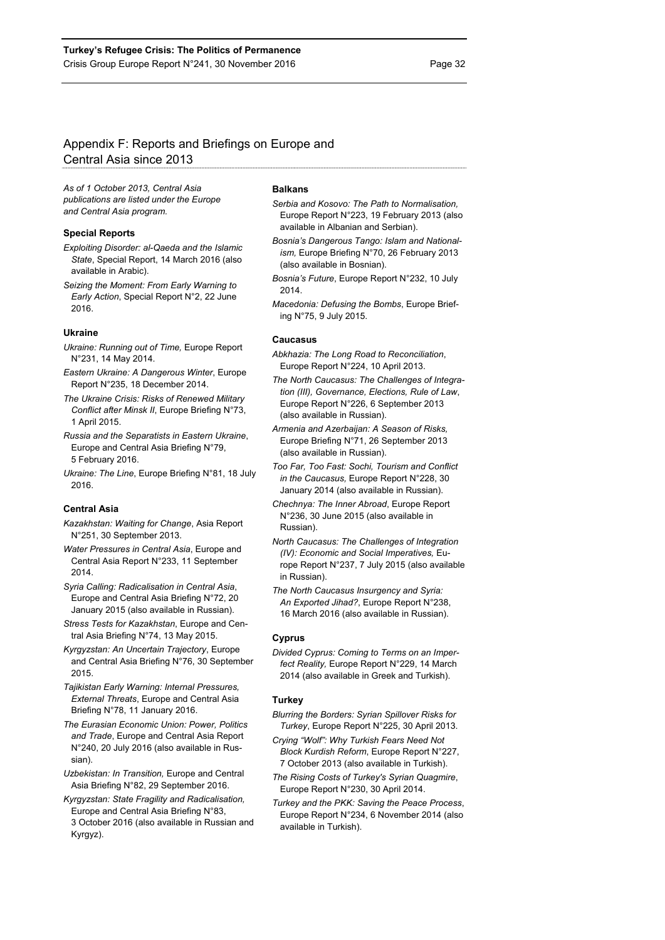# Appendix F: Reports and Briefings on Europe and Central Asia since 2013

*As of 1 October 2013, Central Asia publications are listed under the Europe and Central Asia program.* 

#### **Special Reports**

- *Exploiting Disorder: al-Qaeda and the Islamic State*, Special Report, 14 March 2016 (also available in Arabic).
- *Seizing the Moment: From Early Warning to Early Action*, Special Report N°2, 22 June 2016.

#### **Ukraine**

- *Ukraine: Running out of Time,* Europe Report N°231, 14 May 2014.
- *Eastern Ukraine: A Dangerous Winter*, Europe Report N°235, 18 December 2014.
- *The Ukraine Crisis: Risks of Renewed Military Conflict after Minsk II*, Europe Briefing N°73, 1 April 2015.
- *Russia and the Separatists in Eastern Ukraine*, Europe and Central Asia Briefing N°79, 5 February 2016.
- *Ukraine: The Line*, Europe Briefing N°81, 18 July 2016.

#### **Central Asia**

- *Kazakhstan: Waiting for Change*, Asia Report N°251, 30 September 2013.
- *Water Pressures in Central Asia*, Europe and Central Asia Report N°233, 11 September 2014.
- *Syria Calling: Radicalisation in Central Asia*, Europe and Central Asia Briefing N°72, 20 January 2015 (also available in Russian).

*Stress Tests for Kazakhstan*, Europe and Central Asia Briefing N°74, 13 May 2015.

- *Kyrgyzstan: An Uncertain Trajectory*, Europe and Central Asia Briefing N°76, 30 September 2015.
- *Tajikistan Early Warning: Internal Pressures, External Threats*, Europe and Central Asia Briefing N°78, 11 January 2016.
- *The Eurasian Economic Union: Power, Politics and Trade*, Europe and Central Asia Report N°240, 20 July 2016 (also available in Russian).
- *Uzbekistan: In Transition,* Europe and Central Asia Briefing N°82, 29 September 2016.
- *Kyrgyzstan: State Fragility and Radicalisation,*  Europe and Central Asia Briefing N°83, 3 October 2016 (also available in Russian and Kyrgyz).

#### **Balkans**

- *Serbia and Kosovo: The Path to Normalisation,*  Europe Report N°223, 19 February 2013 (also available in Albanian and Serbian).
- *Bosnia's Dangerous Tango: Islam and Nationalism,* Europe Briefing N°70, 26 February 2013 (also available in Bosnian).
- *Bosnia's Future*, Europe Report N°232, 10 July 2014.
- *Macedonia: Defusing the Bombs*, Europe Briefing N°75, 9 July 2015.

#### **Caucasus**

- *Abkhazia: The Long Road to Reconciliation*, Europe Report N°224, 10 April 2013.
- *The North Caucasus: The Challenges of Integration (III), Governance, Elections, Rule of Law*, Europe Report N°226, 6 September 2013 (also available in Russian).
- *Armenia and Azerbaijan: A Season of Risks,*  Europe Briefing N°71, 26 September 2013 (also available in Russian).
- *Too Far, Too Fast: Sochi, Tourism and Conflict in the Caucasus,* Europe Report N°228, 30 January 2014 (also available in Russian).
- *Chechnya: The Inner Abroad*, Europe Report N°236, 30 June 2015 (also available in Russian).
- *North Caucasus: The Challenges of Integration (IV): Economic and Social Imperatives,* Europe Report N°237, 7 July 2015 (also available in Russian).
- *The North Caucasus Insurgency and Syria: An Exported Jihad?*, Europe Report N°238, 16 March 2016 (also available in Russian).

#### **Cyprus**

*Divided Cyprus: Coming to Terms on an Imperfect Reality,* Europe Report N°229, 14 March 2014 (also available in Greek and Turkish).

#### **Turkey**

- *Blurring the Borders: Syrian Spillover Risks for Turkey*, Europe Report N°225, 30 April 2013.
- *Crying "Wolf": Why Turkish Fears Need Not Block Kurdish Reform*, Europe Report N°227, 7 October 2013 (also available in Turkish).
- *The Rising Costs of Turkey's Syrian Quagmire*, Europe Report N°230, 30 April 2014.
- *Turkey and the PKK: Saving the Peace Process*, Europe Report N°234, 6 November 2014 (also available in Turkish).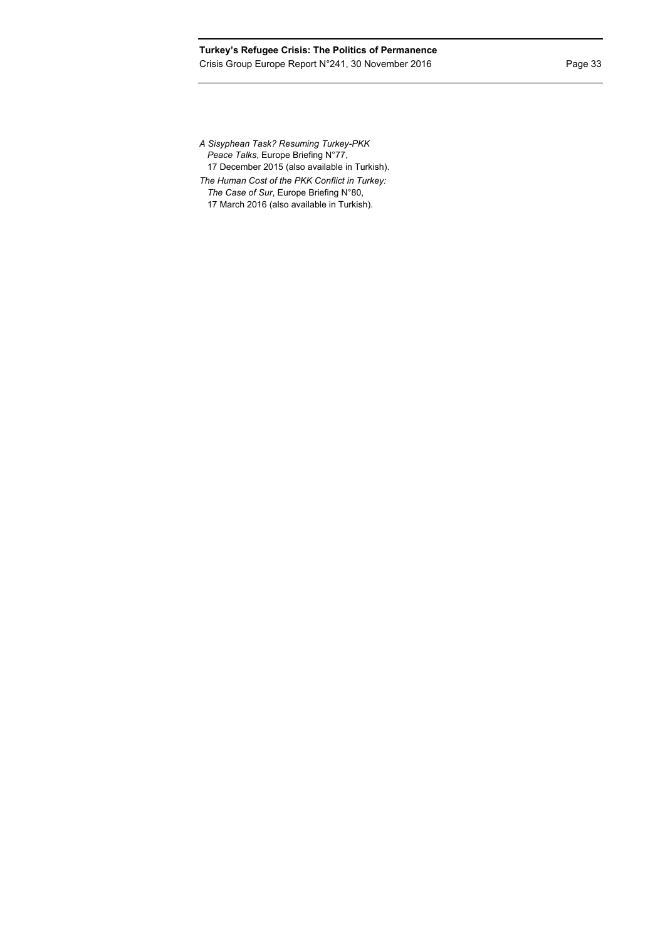17 December 2015 (also available in Turkish).

*The Human Cost of the PKK Conflict in Turkey:* 

*The Case of Sur*, Europe Briefing N°80, 17 March 2016 (also available in Turkish).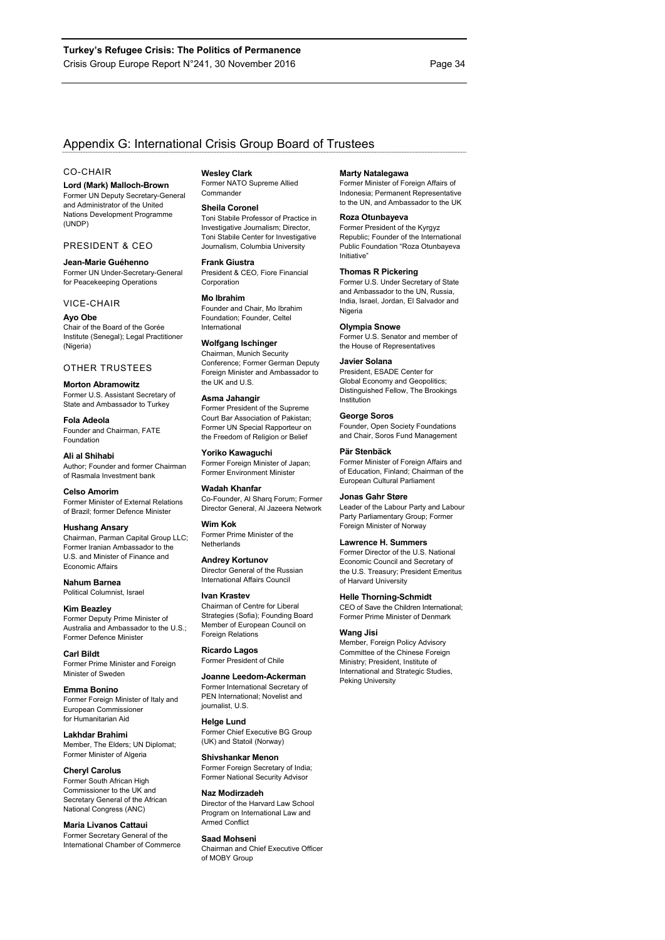# Appendix G: International Crisis Group Board of Trustees

#### CO-CHAIR

**Lord (Mark) Malloch-Brown** 

Former UN Deputy Secretary-General and Administrator of the United Nations Development Programme (UNDP)

#### PRESIDENT & CEO

**Jean-Marie Guéhenno**  Former UN Under-Secretary-General for Peacekeeping Operations

#### VICE-CHAIR

**Ayo Obe**  Chair of the Board of the Gorée Institute (Senegal); Legal Practitioner (Nigeria)

#### OTHER TRUSTEES

**Morton Abramowitz**  Former U.S. Assistant Secretary of State and Ambassador to Turkey

**Fola Adeola**  Founder and Chairman, FATE Foundation

**Ali al Shihabi**  Author; Founder and former Chairman of Rasmala Investment bank

**Celso Amorim**  Former Minister of External Relations of Brazil; former Defence Minister

#### **Hushang Ansary**

Chairman, Parman Capital Group LLC; Former Iranian Ambassador to the U.S. and Minister of Finance and Economic Affairs

**Nahum Barnea**  Political Columnist, Israel

**Kim Beazley**  Former Deputy Prime Minister of Australia and Ambassador to the U.S.; Former Defence Minister

**Carl Bildt**  Former Prime Minister and Foreign Minister of Sweden

**Emma Bonino**  Former Foreign Minister of Italy and European Commissioner for Humanitarian Aid

**Lakhdar Brahimi**  Member, The Elders; UN Diplomat; Former Minister of Algeria

#### **Cheryl Carolus**

Former South African High Commissioner to the UK and Secretary General of the African National Congress (ANC)

**Maria Livanos Cattaui**  Former Secretary General of the International Chamber of Commerce

#### **Wesley Clark**

Former NATO Supreme Allied Commander

#### **Sheila Coronel**

Toni Stabile Professor of Practice in Investigative Journalism; Director, Toni Stabile Center for Investigative Journalism, Columbia University

#### **Frank Giustra**

President & CEO, Fiore Financial Corporation

#### **Mo Ibrahim**

Founder and Chair, Mo Ibrahim Foundation; Founder, Celtel International

#### **Wolfgang Ischinger**

Chairman, Munich Security Conference; Former German Deputy Foreign Minister and Ambassador to the UK and U.S.

# **Asma Jahangir**

Former President of the Supreme Court Bar Association of Pakistan; Former UN Special Rapporteur on the Freedom of Religion or Belief

**Yoriko Kawaguchi**  Former Foreign Minister of Japan; Former Environment Minister

# **Wadah Khanfar**

Co-Founder, Al Sharq Forum; Former Director General, Al Jazeera Network

**Wim Kok**  Former Prime Minister of the **Netherlands** 

#### **Andrey Kortunov**  Director General of the Russian

International Affairs Council

### **Ivan Krastev**

Chairman of Centre for Liberal Strategies (Sofia); Founding Board Member of European Council on **Foreign Relations** 

**Ricardo Lagos**  Former President of Chile

#### **Joanne Leedom-Ackerman**

Former International Secretary of PEN International; Novelist and journalist, U.S.

#### **Helge Lund**  Former Chief Executive BG Group

(UK) and Statoil (Norway)

**Shivshankar Menon**  Former Foreign Secretary of India; Former National Security Advisor

### **Naz Modirzadeh**  Director of the Harvard Law School

Program on International Law and Armed Conflict

#### **Saad Mohseni**

Chairman and Chief Executive Officer of MOBY Group

#### **Marty Natalegawa**

Former Minister of Foreign Affairs of Indonesia; Permanent Representative to the UN, and Ambassador to the UK

### **Roza Otunbayeva**

Former President of the Kyrgyz Republic; Founder of the International Public Foundation "Roza Otunbayeva Initiative"

#### **Thomas R Pickering**

Former U.S. Under Secretary of State and Ambassador to the UN, Russia, India, Israel, Jordan, El Salvador and Nigeria

#### **Olympia Snowe**

Former U.S. Senator and member of the House of Representatives

#### **Javier Solana**

President, ESADE Center for Global Economy and Geopolitics; Distinguished Fellow, The Brookings Institution

#### **George Soros**

Founder, Open Society Foundations and Chair, Soros Fund Management

### **Pär Stenbäck**

Former Minister of Foreign Affairs and of Education, Finland; Chairman of the European Cultural Parliament

#### **Jonas Gahr Støre**

Leader of the Labour Party and Labour Party Parliamentary Group; Former Foreign Minister of Norway

#### **Lawrence H. Summers**

Former Director of the U.S. National Economic Council and Secretary of the U.S. Treasury; President Emeritus of Harvard University

#### **Helle Thorning-Schmidt**

CEO of Save the Children International; Former Prime Minister of Denmark

#### **Wang Jisi**

Member, Foreign Policy Advisory Committee of the Chinese Foreign Ministry; President, Institute of International and Strategic Studies, Peking University